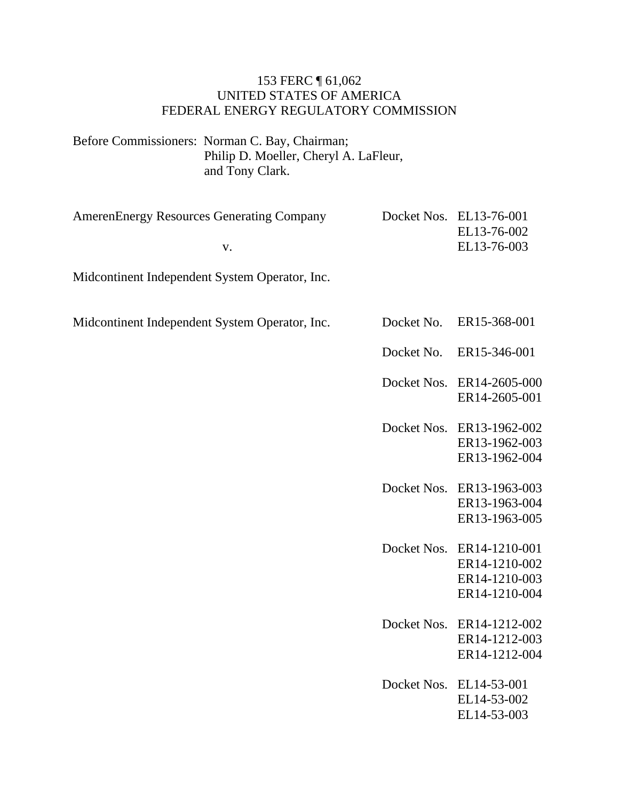#### 153 FERC ¶ 61,062 UNITED STATES OF AMERICA FEDERAL ENERGY REGULATORY COMMISSION

Before Commissioners: Norman C. Bay, Chairman; Philip D. Moeller, Cheryl A. LaFleur, and Tony Clark.

| <b>AmerenEnergy Resources Generating Company</b> |            | Docket Nos. EL13-76-001<br>EL13-76-002 |
|--------------------------------------------------|------------|----------------------------------------|
| V.                                               |            | EL13-76-003                            |
| Midcontinent Independent System Operator, Inc.   |            |                                        |
| Midcontinent Independent System Operator, Inc.   | Docket No. | ER15-368-001                           |
|                                                  | Docket No. | ER15-346-001                           |
|                                                  |            |                                        |

| Docket Nos. ER14-2605-000 |
|---------------------------|
| ER14-2605-001             |

| Docket Nos. ER13-1962-002 |
|---------------------------|
| ER13-1962-003             |
| ER13-1962-004             |

- Docket Nos. ER13-1963-003 ER13-1963-004 ER13-1963-005
- Docket Nos. ER14-1210-001 ER14-1210-002 ER14-1210-003 ER14-1210-004
- Docket Nos. ER14-1212-002 ER14-1212-003 ER14-1212-004
- Docket Nos. EL14-53-001 EL14-53-002 EL14-53-003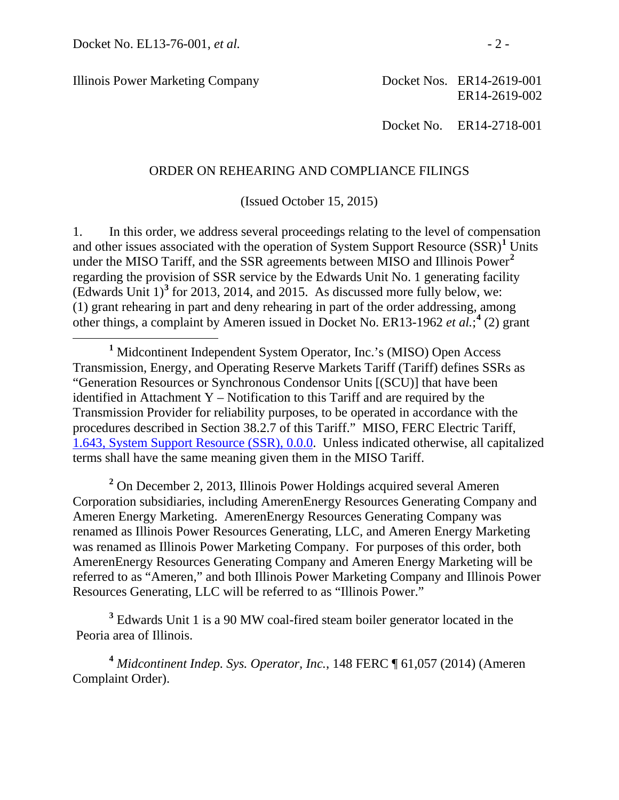Illinois Power Marketing Company

Docket Nos. ER14-2619-001 ER14-2619-002

Docket No. ER14-2718-001

#### ORDER ON REHEARING AND COMPLIANCE FILINGS

(Issued October 15, 2015)

1. In this order, we address several proceedings relating to the level of compensation and other issues associated with the operation of System Support Resource  $(SSR)^1$  $(SSR)^1$  Units under the MISO Tariff, and the SSR agreements between MISO and Illinois Power**[2](#page-1-1)** regarding the provision of SSR service by the Edwards Unit No. 1 generating facility (Edwards Unit 1) **[3](#page-1-2)** for 2013, 2014, and 2015. As discussed more fully below, we: (1) grant rehearing in part and deny rehearing in part of the order addressing, among other things, a complaint by Ameren issued in Docket No. ER13-1962 *et al.*; **[4](#page-1-3)** (2) grant

<span id="page-1-1"></span>**<sup>2</sup>** On December 2, 2013, Illinois Power Holdings acquired several Ameren Corporation subsidiaries, including AmerenEnergy Resources Generating Company and Ameren Energy Marketing. AmerenEnergy Resources Generating Company was renamed as Illinois Power Resources Generating, LLC, and Ameren Energy Marketing was renamed as Illinois Power Marketing Company. For purposes of this order, both AmerenEnergy Resources Generating Company and Ameren Energy Marketing will be referred to as "Ameren," and both Illinois Power Marketing Company and Illinois Power Resources Generating, LLC will be referred to as "Illinois Power."

<span id="page-1-2"></span>**<sup>3</sup>** Edwards Unit 1 is a 90 MW coal-fired steam boiler generator located in the Peoria area of Illinois.

<span id="page-1-3"></span>**<sup>4</sup>** *Midcontinent Indep. Sys. Operator, Inc.*, 148 FERC ¶ 61,057 (2014) (Ameren Complaint Order).

<span id="page-1-0"></span>**<sup>1</sup>** Midcontinent Independent System Operator, Inc.'s (MISO) Open Access Transmission, Energy, and Operating Reserve Markets Tariff (Tariff) defines SSRs as "Generation Resources or Synchronous Condensor Units [(SCU)] that have been identified in Attachment Y – Notification to this Tariff and are required by the Transmission Provider for reliability purposes, to be operated in accordance with the procedures described in Section 38.2.7 of this Tariff." MISO, FERC Electric Tariff, [1.643, System Support Resource \(SSR\), 0.0.0.](http://etariff.ferc.gov/TariffSectionDetails.aspx?tid=1162&sid=50355) Unless indicated otherwise, all capitalized terms shall have the same meaning given them in the MISO Tariff.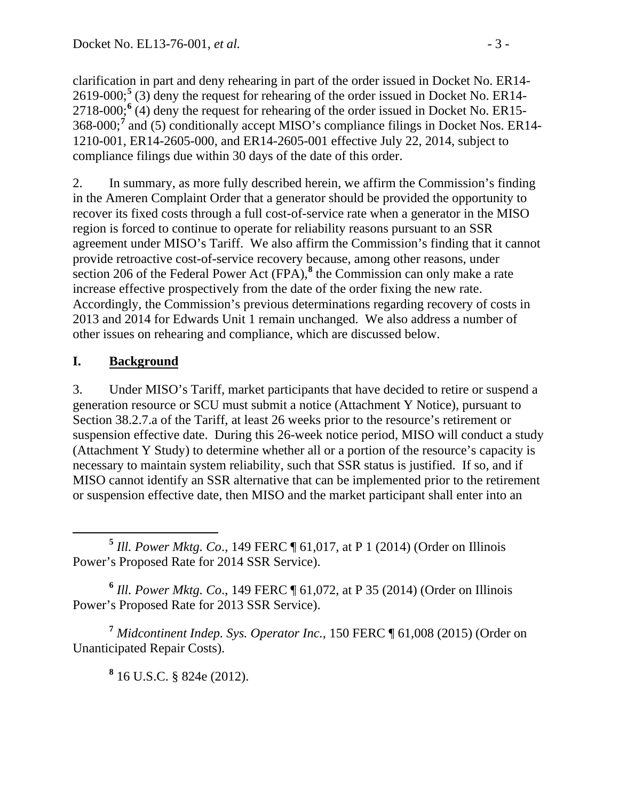clarification in part and deny rehearing in part of the order issued in Docket No. ER14- 2619-000; **[5](#page-2-0)** (3) deny the request for rehearing of the order issued in Docket No. ER14- 2718-000;<sup>[6](#page-2-1)</sup> (4) deny the request for rehearing of the order issued in Docket No. ER15-368-000; **[7](#page-2-2)** and (5) conditionally accept MISO's compliance filings in Docket Nos. ER14- 1210-001, ER14-2605-000, and ER14-2605-001 effective July 22, 2014, subject to compliance filings due within 30 days of the date of this order.

2. In summary, as more fully described herein, we affirm the Commission's finding in the Ameren Complaint Order that a generator should be provided the opportunity to recover its fixed costs through a full cost-of-service rate when a generator in the MISO region is forced to continue to operate for reliability reasons pursuant to an SSR agreement under MISO's Tariff. We also affirm the Commission's finding that it cannot provide retroactive cost-of-service recovery because, among other reasons, under section 206 of the Federal Power Act (FPA),**[8](#page-2-3)** the Commission can only make a rate increase effective prospectively from the date of the order fixing the new rate. Accordingly, the Commission's previous determinations regarding recovery of costs in 2013 and 2014 for Edwards Unit 1 remain unchanged. We also address a number of other issues on rehearing and compliance, which are discussed below.

# **I. Background**

3. Under MISO's Tariff, market participants that have decided to retire or suspend a generation resource or SCU must submit a notice (Attachment Y Notice), pursuant to Section 38.2.7.a of the Tariff, at least 26 weeks prior to the resource's retirement or suspension effective date. During this 26-week notice period, MISO will conduct a study (Attachment Y Study) to determine whether all or a portion of the resource's capacity is necessary to maintain system reliability, such that SSR status is justified. If so, and if MISO cannot identify an SSR alternative that can be implemented prior to the retirement or suspension effective date, then MISO and the market participant shall enter into an

<span id="page-2-1"></span>**<sup>6</sup>** *Ill. Power Mktg. Co*., 149 FERC ¶ 61,072, at P 35 (2014) (Order on Illinois Power's Proposed Rate for 2013 SSR Service).

<span id="page-2-3"></span><span id="page-2-2"></span>**<sup>7</sup>** *Midcontinent Indep. Sys. Operator Inc.*, 150 FERC ¶ 61,008 (2015) (Order on Unanticipated Repair Costs).

**<sup>8</sup>** 16 U.S.C. § 824e (2012).

<span id="page-2-0"></span>**<sup>5</sup>** *Ill. Power Mktg. Co*., 149 FERC ¶ 61,017, at P 1 (2014) (Order on Illinois Power's Proposed Rate for 2014 SSR Service).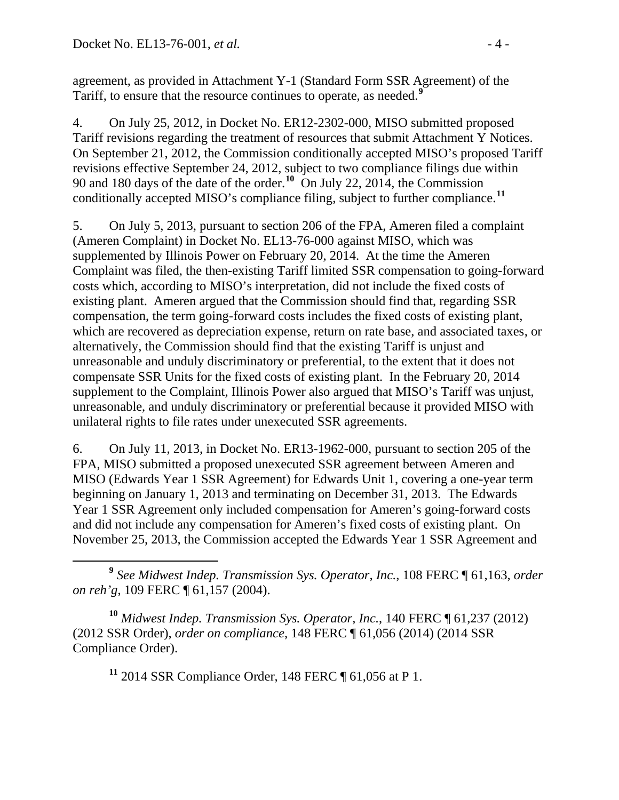agreement, as provided in Attachment Y-1 (Standard Form SSR Agreement) of the Tariff, to ensure that the resource continues to operate, as needed.**[9](#page-3-0)**

4. On July 25, 2012, in Docket No. ER12-2302-000, MISO submitted proposed Tariff revisions regarding the treatment of resources that submit Attachment Y Notices. On September 21, 2012, the Commission conditionally accepted MISO's proposed Tariff revisions effective September 24, 2012, subject to two compliance filings due within 90 and 180 days of the date of the order.**[10](#page-3-1)** On July 22, 2014, the Commission conditionally accepted MISO's compliance filing, subject to further compliance.**[11](#page-3-2)**

5. On July 5, 2013, pursuant to section 206 of the FPA, Ameren filed a complaint (Ameren Complaint) in Docket No. EL13-76-000 against MISO, which was supplemented by Illinois Power on February 20, 2014. At the time the Ameren Complaint was filed, the then-existing Tariff limited SSR compensation to going-forward costs which, according to MISO's interpretation, did not include the fixed costs of existing plant. Ameren argued that the Commission should find that, regarding SSR compensation, the term going-forward costs includes the fixed costs of existing plant, which are recovered as depreciation expense, return on rate base, and associated taxes, or alternatively, the Commission should find that the existing Tariff is unjust and unreasonable and unduly discriminatory or preferential, to the extent that it does not compensate SSR Units for the fixed costs of existing plant. In the February 20, 2014 supplement to the Complaint, Illinois Power also argued that MISO's Tariff was unjust, unreasonable, and unduly discriminatory or preferential because it provided MISO with unilateral rights to file rates under unexecuted SSR agreements.

6. On July 11, 2013, in Docket No. ER13-1962-000, pursuant to section 205 of the FPA, MISO submitted a proposed unexecuted SSR agreement between Ameren and MISO (Edwards Year 1 SSR Agreement) for Edwards Unit 1, covering a one-year term beginning on January 1, 2013 and terminating on December 31, 2013. The Edwards Year 1 SSR Agreement only included compensation for Ameren's going-forward costs and did not include any compensation for Ameren's fixed costs of existing plant. On November 25, 2013, the Commission accepted the Edwards Year 1 SSR Agreement and

<span id="page-3-0"></span> **<sup>9</sup>** *See Midwest Indep. Transmission Sys. Operator, Inc.*, 108 FERC ¶ 61,163, *order on reh'g*, 109 FERC ¶ 61,157 (2004).

<span id="page-3-2"></span><span id="page-3-1"></span>**<sup>10</sup>** *Midwest Indep. Transmission Sys. Operator, Inc.*, 140 FERC ¶ 61,237 (2012) (2012 SSR Order), *order on compliance*, 148 FERC ¶ 61,056 (2014) (2014 SSR Compliance Order).

**<sup>11</sup>** 2014 SSR Compliance Order, 148 FERC ¶ 61,056 at P 1.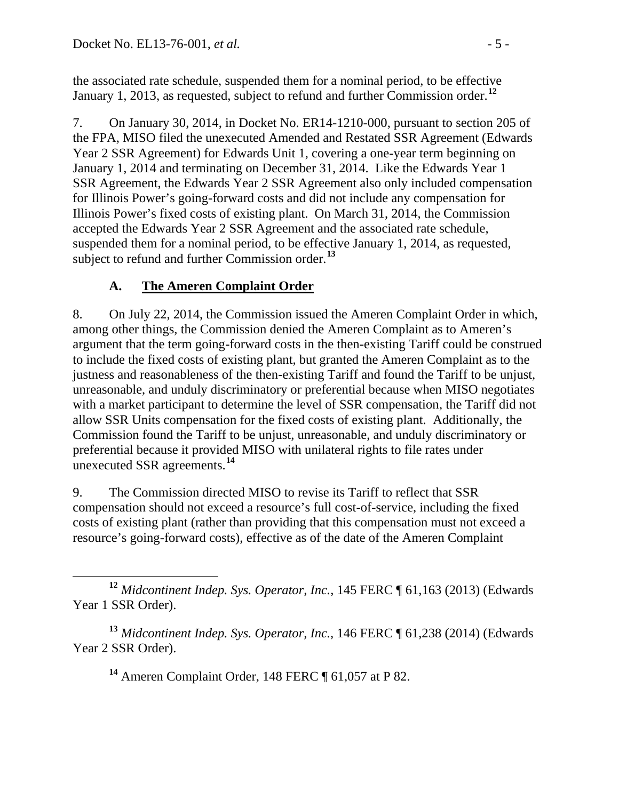the associated rate schedule, suspended them for a nominal period, to be effective January 1, 2013, as requested, subject to refund and further Commission order.**[12](#page-4-0)**

7. On January 30, 2014, in Docket No. ER14-1210-000, pursuant to section 205 of the FPA, MISO filed the unexecuted Amended and Restated SSR Agreement (Edwards Year 2 SSR Agreement) for Edwards Unit 1, covering a one-year term beginning on January 1, 2014 and terminating on December 31, 2014. Like the Edwards Year 1 SSR Agreement, the Edwards Year 2 SSR Agreement also only included compensation for Illinois Power's going-forward costs and did not include any compensation for Illinois Power's fixed costs of existing plant. On March 31, 2014, the Commission accepted the Edwards Year 2 SSR Agreement and the associated rate schedule, suspended them for a nominal period, to be effective January 1, 2014, as requested, subject to refund and further Commission order.**[13](#page-4-1)**

# **A. The Ameren Complaint Order**

8. On July 22, 2014, the Commission issued the Ameren Complaint Order in which, among other things, the Commission denied the Ameren Complaint as to Ameren's argument that the term going-forward costs in the then-existing Tariff could be construed to include the fixed costs of existing plant, but granted the Ameren Complaint as to the justness and reasonableness of the then-existing Tariff and found the Tariff to be unjust, unreasonable, and unduly discriminatory or preferential because when MISO negotiates with a market participant to determine the level of SSR compensation, the Tariff did not allow SSR Units compensation for the fixed costs of existing plant. Additionally, the Commission found the Tariff to be unjust, unreasonable, and unduly discriminatory or preferential because it provided MISO with unilateral rights to file rates under unexecuted SSR agreements.**[14](#page-4-2)**

9. The Commission directed MISO to revise its Tariff to reflect that SSR compensation should not exceed a resource's full cost-of-service, including the fixed costs of existing plant (rather than providing that this compensation must not exceed a resource's going-forward costs), effective as of the date of the Ameren Complaint

**<sup>14</sup>** Ameren Complaint Order, 148 FERC ¶ 61,057 at P 82.

<span id="page-4-0"></span>**<sup>12</sup>** *Midcontinent Indep. Sys. Operator, Inc.*, 145 FERC ¶ 61,163 (2013) (Edwards Year 1 SSR Order).

<span id="page-4-2"></span><span id="page-4-1"></span>**<sup>13</sup>** *Midcontinent Indep. Sys. Operator, Inc.*, 146 FERC ¶ 61,238 (2014) (Edwards Year 2 SSR Order).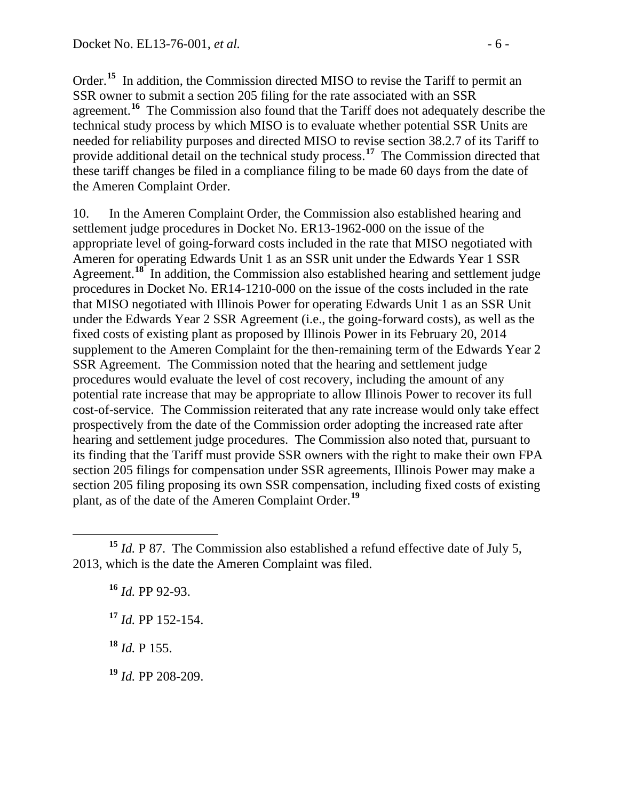Order.<sup>[15](#page-5-0)</sup> In addition, the Commission directed MISO to revise the Tariff to permit an SSR owner to submit a section 205 filing for the rate associated with an SSR agreement.**[16](#page-5-1)** The Commission also found that the Tariff does not adequately describe the technical study process by which MISO is to evaluate whether potential SSR Units are needed for reliability purposes and directed MISO to revise section 38.2.7 of its Tariff to provide additional detail on the technical study process.<sup>[17](#page-5-2)</sup> The Commission directed that these tariff changes be filed in a compliance filing to be made 60 days from the date of the Ameren Complaint Order.

10. In the Ameren Complaint Order, the Commission also established hearing and settlement judge procedures in Docket No. ER13-1962-000 on the issue of the appropriate level of going-forward costs included in the rate that MISO negotiated with Ameren for operating Edwards Unit 1 as an SSR unit under the Edwards Year 1 SSR Agreement.<sup>[18](#page-5-3)</sup> In addition, the Commission also established hearing and settlement judge procedures in Docket No. ER14-1210-000 on the issue of the costs included in the rate that MISO negotiated with Illinois Power for operating Edwards Unit 1 as an SSR Unit under the Edwards Year 2 SSR Agreement (i.e., the going-forward costs), as well as the fixed costs of existing plant as proposed by Illinois Power in its February 20, 2014 supplement to the Ameren Complaint for the then-remaining term of the Edwards Year 2 SSR Agreement. The Commission noted that the hearing and settlement judge procedures would evaluate the level of cost recovery, including the amount of any potential rate increase that may be appropriate to allow Illinois Power to recover its full cost-of-service. The Commission reiterated that any rate increase would only take effect prospectively from the date of the Commission order adopting the increased rate after hearing and settlement judge procedures. The Commission also noted that, pursuant to its finding that the Tariff must provide SSR owners with the right to make their own FPA section 205 filings for compensation under SSR agreements, Illinois Power may make a section 205 filing proposing its own SSR compensation, including fixed costs of existing plant, as of the date of the Ameren Complaint Order.**[19](#page-5-4)**

<span id="page-5-2"></span><span id="page-5-1"></span><span id="page-5-0"></span>**<sup>15</sup>** *Id.* P 87. The Commission also established a refund effective date of July 5, 2013, which is the date the Ameren Complaint was filed.

**<sup>16</sup>** *Id.* PP 92-93.

**<sup>17</sup>** *Id.* PP 152-154.

<span id="page-5-3"></span>**<sup>18</sup>** *Id.* P 155.

<span id="page-5-4"></span>**<sup>19</sup>** *Id.* PP 208-209.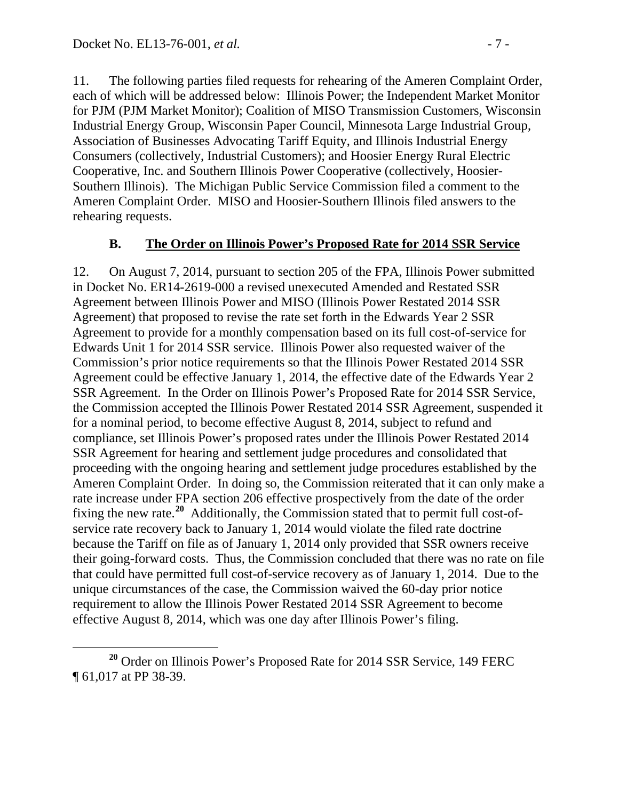11. The following parties filed requests for rehearing of the Ameren Complaint Order, each of which will be addressed below: Illinois Power; the Independent Market Monitor for PJM (PJM Market Monitor); Coalition of MISO Transmission Customers, Wisconsin Industrial Energy Group, Wisconsin Paper Council, Minnesota Large Industrial Group, Association of Businesses Advocating Tariff Equity, and Illinois Industrial Energy Consumers (collectively, Industrial Customers); and Hoosier Energy Rural Electric Cooperative, Inc. and Southern Illinois Power Cooperative (collectively, Hoosier-Southern Illinois). The Michigan Public Service Commission filed a comment to the Ameren Complaint Order. MISO and Hoosier-Southern Illinois filed answers to the rehearing requests.

### **B. The Order on Illinois Power's Proposed Rate for 2014 SSR Service**

12. On August 7, 2014, pursuant to section 205 of the FPA, Illinois Power submitted in Docket No. ER14-2619-000 a revised unexecuted Amended and Restated SSR Agreement between Illinois Power and MISO (Illinois Power Restated 2014 SSR Agreement) that proposed to revise the rate set forth in the Edwards Year 2 SSR Agreement to provide for a monthly compensation based on its full cost-of-service for Edwards Unit 1 for 2014 SSR service. Illinois Power also requested waiver of the Commission's prior notice requirements so that the Illinois Power Restated 2014 SSR Agreement could be effective January 1, 2014, the effective date of the Edwards Year 2 SSR Agreement. In the Order on Illinois Power's Proposed Rate for 2014 SSR Service, the Commission accepted the Illinois Power Restated 2014 SSR Agreement, suspended it for a nominal period, to become effective August 8, 2014, subject to refund and compliance, set Illinois Power's proposed rates under the Illinois Power Restated 2014 SSR Agreement for hearing and settlement judge procedures and consolidated that proceeding with the ongoing hearing and settlement judge procedures established by the Ameren Complaint Order. In doing so, the Commission reiterated that it can only make a rate increase under FPA section 206 effective prospectively from the date of the order fixing the new rate.**[20](#page-6-0)** Additionally, the Commission stated that to permit full cost-ofservice rate recovery back to January 1, 2014 would violate the filed rate doctrine because the Tariff on file as of January 1, 2014 only provided that SSR owners receive their going-forward costs. Thus, the Commission concluded that there was no rate on file that could have permitted full cost-of-service recovery as of January 1, 2014. Due to the unique circumstances of the case, the Commission waived the 60-day prior notice requirement to allow the Illinois Power Restated 2014 SSR Agreement to become effective August 8, 2014, which was one day after Illinois Power's filing.

<span id="page-6-0"></span>**<sup>20</sup>** Order on Illinois Power's Proposed Rate for 2014 SSR Service, 149 FERC ¶ 61,017 at PP 38-39.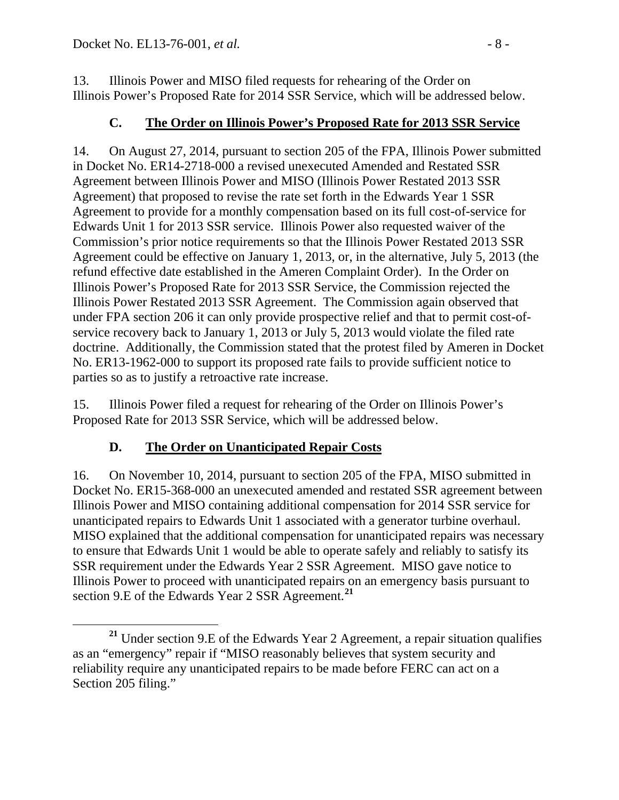13. Illinois Power and MISO filed requests for rehearing of the Order on Illinois Power's Proposed Rate for 2014 SSR Service, which will be addressed below.

### **C. The Order on Illinois Power's Proposed Rate for 2013 SSR Service**

14. On August 27, 2014, pursuant to section 205 of the FPA, Illinois Power submitted in Docket No. ER14-2718-000 a revised unexecuted Amended and Restated SSR Agreement between Illinois Power and MISO (Illinois Power Restated 2013 SSR Agreement) that proposed to revise the rate set forth in the Edwards Year 1 SSR Agreement to provide for a monthly compensation based on its full cost-of-service for Edwards Unit 1 for 2013 SSR service. Illinois Power also requested waiver of the Commission's prior notice requirements so that the Illinois Power Restated 2013 SSR Agreement could be effective on January 1, 2013, or, in the alternative, July 5, 2013 (the refund effective date established in the Ameren Complaint Order). In the Order on Illinois Power's Proposed Rate for 2013 SSR Service, the Commission rejected the Illinois Power Restated 2013 SSR Agreement. The Commission again observed that under FPA section 206 it can only provide prospective relief and that to permit cost-ofservice recovery back to January 1, 2013 or July 5, 2013 would violate the filed rate doctrine. Additionally, the Commission stated that the protest filed by Ameren in Docket No. ER13-1962-000 to support its proposed rate fails to provide sufficient notice to parties so as to justify a retroactive rate increase.

15. Illinois Power filed a request for rehearing of the Order on Illinois Power's Proposed Rate for 2013 SSR Service, which will be addressed below.

### **D. The Order on Unanticipated Repair Costs**

16. On November 10, 2014, pursuant to section 205 of the FPA, MISO submitted in Docket No. ER15-368-000 an unexecuted amended and restated SSR agreement between Illinois Power and MISO containing additional compensation for 2014 SSR service for unanticipated repairs to Edwards Unit 1 associated with a generator turbine overhaul. MISO explained that the additional compensation for unanticipated repairs was necessary to ensure that Edwards Unit 1 would be able to operate safely and reliably to satisfy its SSR requirement under the Edwards Year 2 SSR Agreement. MISO gave notice to Illinois Power to proceed with unanticipated repairs on an emergency basis pursuant to section 9.E of the Edwards Year 2 SSR Agreement.**[21](#page-7-0)**

<span id="page-7-0"></span>**<sup>21</sup>** Under section 9.E of the Edwards Year 2 Agreement, a repair situation qualifies as an "emergency" repair if "MISO reasonably believes that system security and reliability require any unanticipated repairs to be made before FERC can act on a Section 205 filing."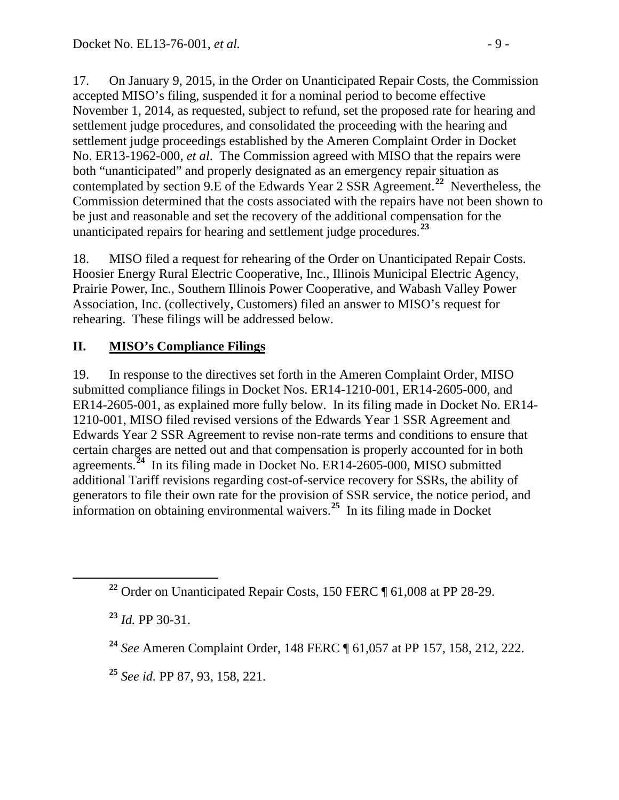17. On January 9, 2015, in the Order on Unanticipated Repair Costs, the Commission accepted MISO's filing, suspended it for a nominal period to become effective November 1, 2014, as requested, subject to refund, set the proposed rate for hearing and settlement judge procedures, and consolidated the proceeding with the hearing and settlement judge proceedings established by the Ameren Complaint Order in Docket No. ER13-1962-000, *et al*. The Commission agreed with MISO that the repairs were both "unanticipated" and properly designated as an emergency repair situation as contemplated by section 9.E of the Edwards Year 2 SSR Agreement.**[22](#page-8-0)** Nevertheless, the Commission determined that the costs associated with the repairs have not been shown to be just and reasonable and set the recovery of the additional compensation for the unanticipated repairs for hearing and settlement judge procedures.**[23](#page-8-1)**

18. MISO filed a request for rehearing of the Order on Unanticipated Repair Costs. Hoosier Energy Rural Electric Cooperative, Inc., Illinois Municipal Electric Agency, Prairie Power, Inc., Southern Illinois Power Cooperative, and Wabash Valley Power Association, Inc. (collectively, Customers) filed an answer to MISO's request for rehearing. These filings will be addressed below.

# **II. MISO's Compliance Filings**

19. In response to the directives set forth in the Ameren Complaint Order, MISO submitted compliance filings in Docket Nos. ER14-1210-001, ER14-2605-000, and ER14-2605-001, as explained more fully below. In its filing made in Docket No. ER14- 1210-001, MISO filed revised versions of the Edwards Year 1 SSR Agreement and Edwards Year 2 SSR Agreement to revise non-rate terms and conditions to ensure that certain charges are netted out and that compensation is properly accounted for in both agreements.<sup>[24](#page-8-2)</sup> In its filing made in Docket No. ER14-2605-000, MISO submitted additional Tariff revisions regarding cost-of-service recovery for SSRs, the ability of generators to file their own rate for the provision of SSR service, the notice period, and information on obtaining environmental waivers. **[25](#page-8-3)** In its filing made in Docket

<span id="page-8-0"></span>**<sup>22</sup>** Order on Unanticipated Repair Costs, 150 FERC ¶ 61,008 at PP 28-29.

<span id="page-8-1"></span>**<sup>23</sup>** *Id.* PP 30-31.

<span id="page-8-2"></span>**<sup>24</sup>** *See* Ameren Complaint Order, 148 FERC ¶ 61,057 at PP 157, 158, 212, 222.

<span id="page-8-3"></span>**<sup>25</sup>** *See id.* PP 87, 93, 158, 221.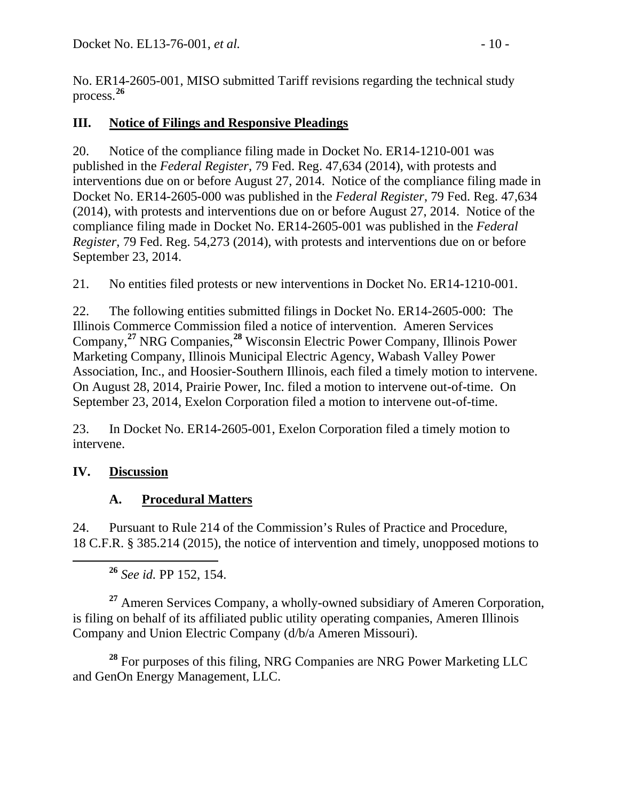No. ER14-2605-001, MISO submitted Tariff revisions regarding the technical study process.**[26](#page-9-0)**

### **III. Notice of Filings and Responsive Pleadings**

20. Notice of the compliance filing made in Docket No. ER14-1210-001 was published in the *Federal Register*, 79 Fed. Reg. 47,634 (2014), with protests and interventions due on or before August 27, 2014. Notice of the compliance filing made in Docket No. ER14-2605-000 was published in the *Federal Register*, 79 Fed. Reg. 47,634 (2014), with protests and interventions due on or before August 27, 2014. Notice of the compliance filing made in Docket No. ER14-2605-001 was published in the *Federal Register*, 79 Fed. Reg. 54,273 (2014), with protests and interventions due on or before September 23, 2014.

21. No entities filed protests or new interventions in Docket No. ER14-1210-001.

22. The following entities submitted filings in Docket No. ER14-2605-000: The Illinois Commerce Commission filed a notice of intervention. Ameren Services Company, **[27](#page-9-1)** NRG Companies,**[28](#page-9-2)** Wisconsin Electric Power Company, Illinois Power Marketing Company, Illinois Municipal Electric Agency, Wabash Valley Power Association, Inc., and Hoosier-Southern Illinois, each filed a timely motion to intervene. On August 28, 2014, Prairie Power, Inc. filed a motion to intervene out-of-time. On September 23, 2014, Exelon Corporation filed a motion to intervene out-of-time.

23. In Docket No. ER14-2605-001, Exelon Corporation filed a timely motion to intervene.

### **IV. Discussion**

### **A. Procedural Matters**

24. Pursuant to Rule 214 of the Commission's Rules of Practice and Procedure, 18 C.F.R. § 385.214 (2015), the notice of intervention and timely, unopposed motions to

**<sup>26</sup>** *See id.* PP 152, 154.

<span id="page-9-1"></span><span id="page-9-0"></span>**<sup>27</sup>** Ameren Services Company, a wholly-owned subsidiary of Ameren Corporation, is filing on behalf of its affiliated public utility operating companies, Ameren Illinois Company and Union Electric Company (d/b/a Ameren Missouri).

<span id="page-9-2"></span>**<sup>28</sup>** For purposes of this filing, NRG Companies are NRG Power Marketing LLC and GenOn Energy Management, LLC.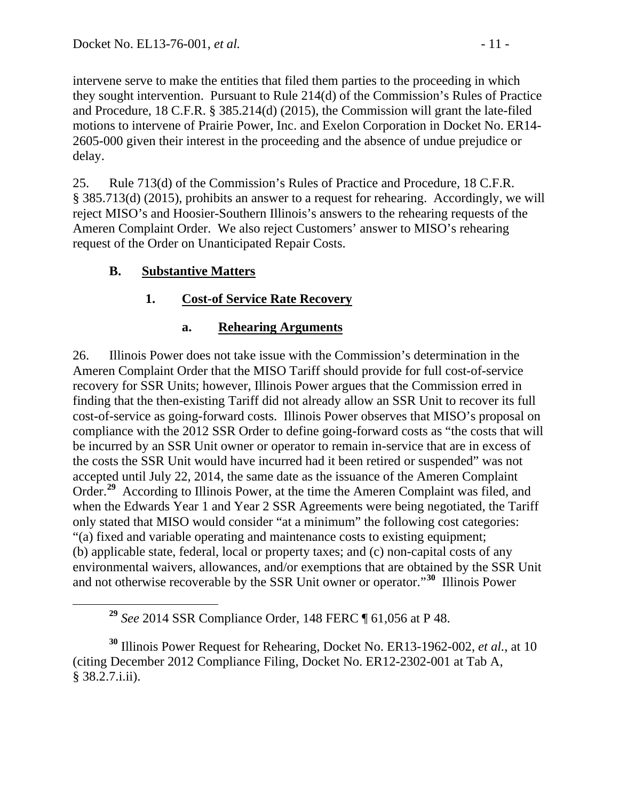intervene serve to make the entities that filed them parties to the proceeding in which they sought intervention. Pursuant to Rule 214(d) of the Commission's Rules of Practice and Procedure, 18 C.F.R. § 385.214(d) (2015), the Commission will grant the late-filed motions to intervene of Prairie Power, Inc. and Exelon Corporation in Docket No. ER14- 2605-000 given their interest in the proceeding and the absence of undue prejudice or delay.

25. Rule 713(d) of the Commission's Rules of Practice and Procedure, 18 C.F.R. § 385.713(d) (2015), prohibits an answer to a request for rehearing. Accordingly, we will reject MISO's and Hoosier-Southern Illinois's answers to the rehearing requests of the Ameren Complaint Order. We also reject Customers' answer to MISO's rehearing request of the Order on Unanticipated Repair Costs.

# **B. Substantive Matters**

# **1. Cost-of Service Rate Recovery**

### **a. Rehearing Arguments**

26. Illinois Power does not take issue with the Commission's determination in the Ameren Complaint Order that the MISO Tariff should provide for full cost-of-service recovery for SSR Units; however, Illinois Power argues that the Commission erred in finding that the then-existing Tariff did not already allow an SSR Unit to recover its full cost-of-service as going-forward costs. Illinois Power observes that MISO's proposal on compliance with the 2012 SSR Order to define going-forward costs as "the costs that will be incurred by an SSR Unit owner or operator to remain in-service that are in excess of the costs the SSR Unit would have incurred had it been retired or suspended" was not accepted until July 22, 2014, the same date as the issuance of the Ameren Complaint Order.**[29](#page-10-0)** According to Illinois Power, at the time the Ameren Complaint was filed, and when the Edwards Year 1 and Year 2 SSR Agreements were being negotiated, the Tariff only stated that MISO would consider "at a minimum" the following cost categories: "(a) fixed and variable operating and maintenance costs to existing equipment; (b) applicable state, federal, local or property taxes; and (c) non-capital costs of any environmental waivers, allowances, and/or exemptions that are obtained by the SSR Unit and not otherwise recoverable by the SSR Unit owner or operator."**[30](#page-10-1)** Illinois Power

**<sup>29</sup>** *See* 2014 SSR Compliance Order, 148 FERC ¶ 61,056 at P 48.

<span id="page-10-1"></span><span id="page-10-0"></span>**<sup>30</sup>** Illinois Power Request for Rehearing, Docket No. ER13-1962-002, *et al.*, at 10 (citing December 2012 Compliance Filing, Docket No. ER12-2302-001 at Tab A, § 38.2.7.i.ii).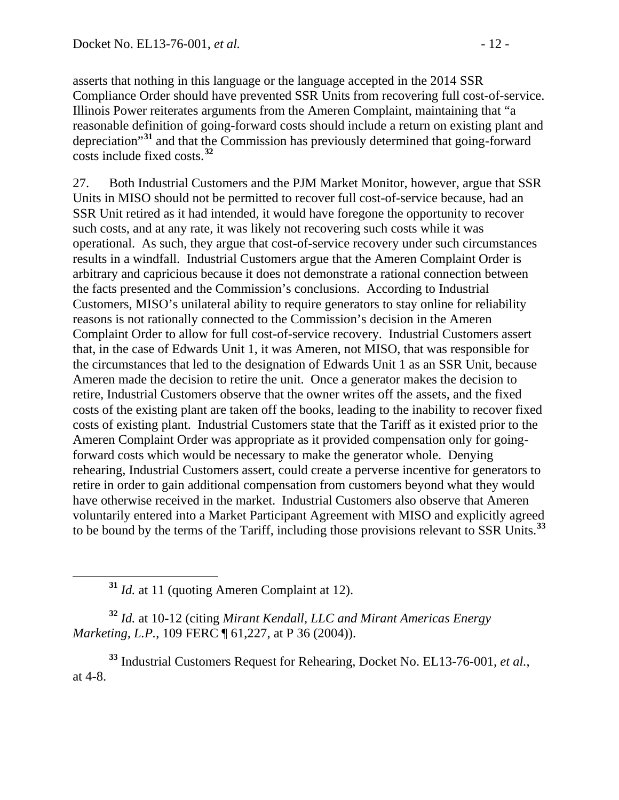asserts that nothing in this language or the language accepted in the 2014 SSR Compliance Order should have prevented SSR Units from recovering full cost-of-service. Illinois Power reiterates arguments from the Ameren Complaint, maintaining that "a reasonable definition of going-forward costs should include a return on existing plant and depreciation"**[31](#page-11-0)** and that the Commission has previously determined that going-forward costs include fixed costs.**[32](#page-11-1)**

27. Both Industrial Customers and the PJM Market Monitor, however, argue that SSR Units in MISO should not be permitted to recover full cost-of-service because, had an SSR Unit retired as it had intended, it would have foregone the opportunity to recover such costs, and at any rate, it was likely not recovering such costs while it was operational. As such, they argue that cost-of-service recovery under such circumstances results in a windfall. Industrial Customers argue that the Ameren Complaint Order is arbitrary and capricious because it does not demonstrate a rational connection between the facts presented and the Commission's conclusions. According to Industrial Customers, MISO's unilateral ability to require generators to stay online for reliability reasons is not rationally connected to the Commission's decision in the Ameren Complaint Order to allow for full cost-of-service recovery. Industrial Customers assert that, in the case of Edwards Unit 1, it was Ameren, not MISO, that was responsible for the circumstances that led to the designation of Edwards Unit 1 as an SSR Unit, because Ameren made the decision to retire the unit. Once a generator makes the decision to retire, Industrial Customers observe that the owner writes off the assets, and the fixed costs of the existing plant are taken off the books, leading to the inability to recover fixed costs of existing plant. Industrial Customers state that the Tariff as it existed prior to the Ameren Complaint Order was appropriate as it provided compensation only for goingforward costs which would be necessary to make the generator whole. Denying rehearing, Industrial Customers assert, could create a perverse incentive for generators to retire in order to gain additional compensation from customers beyond what they would have otherwise received in the market. Industrial Customers also observe that Ameren voluntarily entered into a Market Participant Agreement with MISO and explicitly agreed to be bound by the terms of the Tariff, including those provisions relevant to SSR Units.**[33](#page-11-2)**

<span id="page-11-1"></span><span id="page-11-0"></span>**<sup>32</sup>** *Id.* at 10-12 (citing *Mirant Kendall, LLC and Mirant Americas Energy Marketing, L.P., 109 FERC*  $\llbracket 61,227$ , at P 36 (2004)).

<span id="page-11-2"></span>**<sup>33</sup>** Industrial Customers Request for Rehearing, Docket No. EL13-76-001, *et al.*, at 4-8.

**<sup>31</sup>** *Id.* at 11 (quoting Ameren Complaint at 12).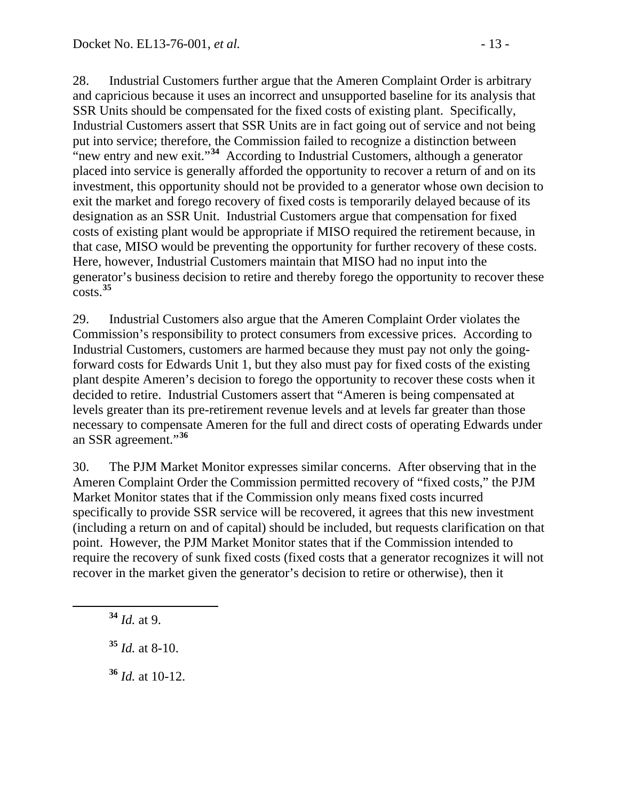28. Industrial Customers further argue that the Ameren Complaint Order is arbitrary and capricious because it uses an incorrect and unsupported baseline for its analysis that SSR Units should be compensated for the fixed costs of existing plant. Specifically, Industrial Customers assert that SSR Units are in fact going out of service and not being put into service; therefore, the Commission failed to recognize a distinction between "new entry and new exit."**[34](#page-12-0)** According to Industrial Customers, although a generator placed into service is generally afforded the opportunity to recover a return of and on its investment, this opportunity should not be provided to a generator whose own decision to exit the market and forego recovery of fixed costs is temporarily delayed because of its designation as an SSR Unit. Industrial Customers argue that compensation for fixed costs of existing plant would be appropriate if MISO required the retirement because, in that case, MISO would be preventing the opportunity for further recovery of these costs. Here, however, Industrial Customers maintain that MISO had no input into the generator's business decision to retire and thereby forego the opportunity to recover these costs.**[35](#page-12-1)**

29. Industrial Customers also argue that the Ameren Complaint Order violates the Commission's responsibility to protect consumers from excessive prices. According to Industrial Customers, customers are harmed because they must pay not only the goingforward costs for Edwards Unit 1, but they also must pay for fixed costs of the existing plant despite Ameren's decision to forego the opportunity to recover these costs when it decided to retire. Industrial Customers assert that "Ameren is being compensated at levels greater than its pre-retirement revenue levels and at levels far greater than those necessary to compensate Ameren for the full and direct costs of operating Edwards under an SSR agreement."**[36](#page-12-2)**

30. The PJM Market Monitor expresses similar concerns. After observing that in the Ameren Complaint Order the Commission permitted recovery of "fixed costs," the PJM Market Monitor states that if the Commission only means fixed costs incurred specifically to provide SSR service will be recovered, it agrees that this new investment (including a return on and of capital) should be included, but requests clarification on that point. However, the PJM Market Monitor states that if the Commission intended to require the recovery of sunk fixed costs (fixed costs that a generator recognizes it will not recover in the market given the generator's decision to retire or otherwise), then it

<span id="page-12-0"></span>**<sup>34</sup>** *Id.* at 9.

<span id="page-12-1"></span>**<sup>35</sup>** *Id.* at 8-10.

<span id="page-12-2"></span>**<sup>36</sup>** *Id.* at 10-12.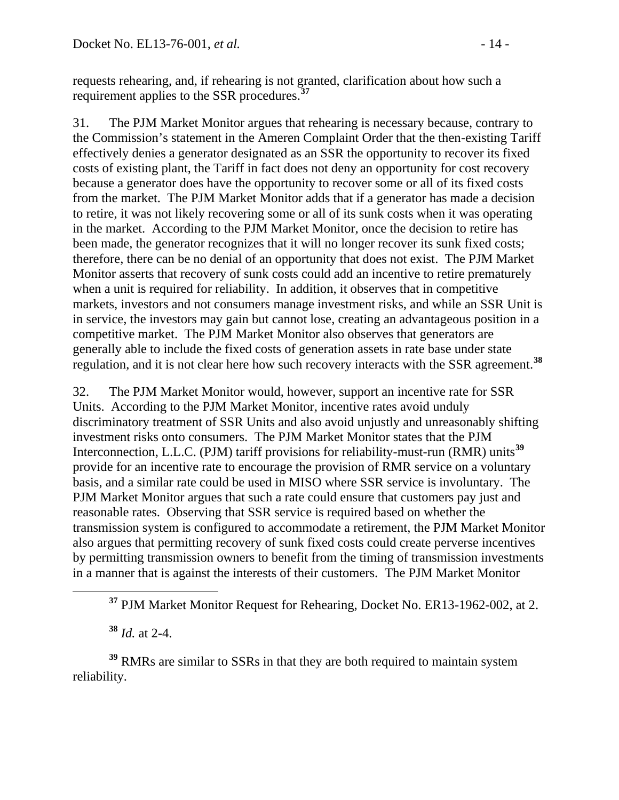requests rehearing, and, if rehearing is not granted, clarification about how such a requirement applies to the SSR procedures. **[37](#page-13-0)**

31. The PJM Market Monitor argues that rehearing is necessary because, contrary to the Commission's statement in the Ameren Complaint Order that the then-existing Tariff effectively denies a generator designated as an SSR the opportunity to recover its fixed costs of existing plant, the Tariff in fact does not deny an opportunity for cost recovery because a generator does have the opportunity to recover some or all of its fixed costs from the market. The PJM Market Monitor adds that if a generator has made a decision to retire, it was not likely recovering some or all of its sunk costs when it was operating in the market. According to the PJM Market Monitor, once the decision to retire has been made, the generator recognizes that it will no longer recover its sunk fixed costs; therefore, there can be no denial of an opportunity that does not exist. The PJM Market Monitor asserts that recovery of sunk costs could add an incentive to retire prematurely when a unit is required for reliability. In addition, it observes that in competitive markets, investors and not consumers manage investment risks, and while an SSR Unit is in service, the investors may gain but cannot lose, creating an advantageous position in a competitive market. The PJM Market Monitor also observes that generators are generally able to include the fixed costs of generation assets in rate base under state regulation, and it is not clear here how such recovery interacts with the SSR agreement. **[38](#page-13-1)**

32. The PJM Market Monitor would, however, support an incentive rate for SSR Units. According to the PJM Market Monitor, incentive rates avoid unduly discriminatory treatment of SSR Units and also avoid unjustly and unreasonably shifting investment risks onto consumers. The PJM Market Monitor states that the PJM Interconnection, L.L.C. (PJM) tariff provisions for reliability-must-run (RMR) units**[39](#page-13-2)** provide for an incentive rate to encourage the provision of RMR service on a voluntary basis, and a similar rate could be used in MISO where SSR service is involuntary. The PJM Market Monitor argues that such a rate could ensure that customers pay just and reasonable rates. Observing that SSR service is required based on whether the transmission system is configured to accommodate a retirement, the PJM Market Monitor also argues that permitting recovery of sunk fixed costs could create perverse incentives by permitting transmission owners to benefit from the timing of transmission investments in a manner that is against the interests of their customers. The PJM Market Monitor

**<sup>38</sup>** *Id.* at 2-4.

<span id="page-13-2"></span><span id="page-13-1"></span><span id="page-13-0"></span>**<sup>39</sup>** RMRs are similar to SSRs in that they are both required to maintain system reliability.

**<sup>37</sup>** PJM Market Monitor Request for Rehearing, Docket No. ER13-1962-002, at 2.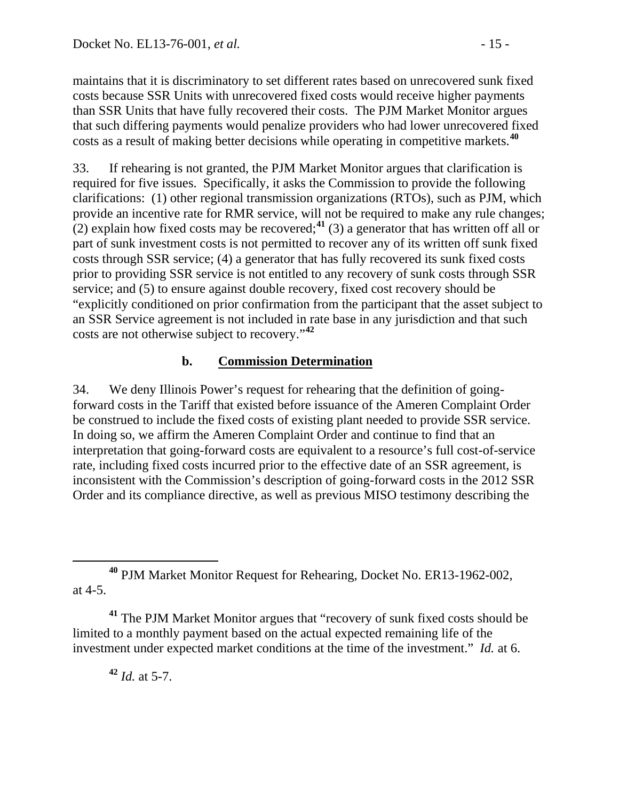maintains that it is discriminatory to set different rates based on unrecovered sunk fixed costs because SSR Units with unrecovered fixed costs would receive higher payments than SSR Units that have fully recovered their costs. The PJM Market Monitor argues that such differing payments would penalize providers who had lower unrecovered fixed costs as a result of making better decisions while operating in competitive markets.**[40](#page-14-0)**

33. If rehearing is not granted, the PJM Market Monitor argues that clarification is required for five issues. Specifically, it asks the Commission to provide the following clarifications: (1) other regional transmission organizations (RTOs), such as PJM, which provide an incentive rate for RMR service, will not be required to make any rule changes;  $(2)$  explain how fixed costs may be recovered;<sup>[41](#page-14-1)</sup> (3) a generator that has written off all or part of sunk investment costs is not permitted to recover any of its written off sunk fixed costs through SSR service; (4) a generator that has fully recovered its sunk fixed costs prior to providing SSR service is not entitled to any recovery of sunk costs through SSR service; and (5) to ensure against double recovery, fixed cost recovery should be "explicitly conditioned on prior confirmation from the participant that the asset subject to an SSR Service agreement is not included in rate base in any jurisdiction and that such costs are not otherwise subject to recovery."**[42](#page-14-2)**

### **b. Commission Determination**

34. We deny Illinois Power's request for rehearing that the definition of goingforward costs in the Tariff that existed before issuance of the Ameren Complaint Order be construed to include the fixed costs of existing plant needed to provide SSR service. In doing so, we affirm the Ameren Complaint Order and continue to find that an interpretation that going-forward costs are equivalent to a resource's full cost-of-service rate, including fixed costs incurred prior to the effective date of an SSR agreement, is inconsistent with the Commission's description of going-forward costs in the 2012 SSR Order and its compliance directive, as well as previous MISO testimony describing the

**<sup>42</sup>** *Id.* at 5-7.

<span id="page-14-0"></span>**<sup>40</sup>** PJM Market Monitor Request for Rehearing, Docket No. ER13-1962-002, at 4-5.

<span id="page-14-2"></span><span id="page-14-1"></span>**<sup>41</sup>** The PJM Market Monitor argues that "recovery of sunk fixed costs should be limited to a monthly payment based on the actual expected remaining life of the investment under expected market conditions at the time of the investment." *Id.* at 6.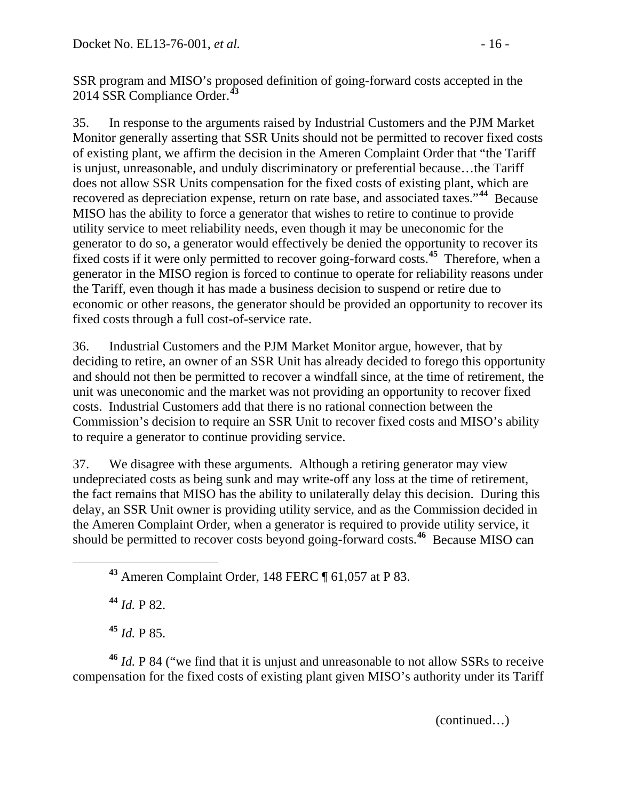SSR program and MISO's proposed definition of going-forward costs accepted in the 2014 SSR Compliance Order.**[43](#page-15-0)**

35. In response to the arguments raised by Industrial Customers and the PJM Market Monitor generally asserting that SSR Units should not be permitted to recover fixed costs of existing plant, we affirm the decision in the Ameren Complaint Order that "the Tariff is unjust, unreasonable, and unduly discriminatory or preferential because…the Tariff does not allow SSR Units compensation for the fixed costs of existing plant, which are recovered as depreciation expense, return on rate base, and associated taxes."**[44](#page-15-1)** Because MISO has the ability to force a generator that wishes to retire to continue to provide utility service to meet reliability needs, even though it may be uneconomic for the generator to do so, a generator would effectively be denied the opportunity to recover its fixed costs if it were only permitted to recover going-forward costs.**[45](#page-15-2)** Therefore, when a generator in the MISO region is forced to continue to operate for reliability reasons under the Tariff, even though it has made a business decision to suspend or retire due to economic or other reasons, the generator should be provided an opportunity to recover its fixed costs through a full cost-of-service rate.

36. Industrial Customers and the PJM Market Monitor argue, however, that by deciding to retire, an owner of an SSR Unit has already decided to forego this opportunity and should not then be permitted to recover a windfall since, at the time of retirement, the unit was uneconomic and the market was not providing an opportunity to recover fixed costs. Industrial Customers add that there is no rational connection between the Commission's decision to require an SSR Unit to recover fixed costs and MISO's ability to require a generator to continue providing service.

37. We disagree with these arguments. Although a retiring generator may view undepreciated costs as being sunk and may write-off any loss at the time of retirement, the fact remains that MISO has the ability to unilaterally delay this decision. During this delay, an SSR Unit owner is providing utility service, and as the Commission decided in the Ameren Complaint Order, when a generator is required to provide utility service, it should be permitted to recover costs beyond going-forward costs.**[46](#page-15-3)** Because MISO can

<span id="page-15-0"></span>**<sup>43</sup>** Ameren Complaint Order, 148 FERC ¶ 61,057 at P 83.

**<sup>44</sup>** *Id.* P 82.

**<sup>45</sup>** *Id.* P 85.

<span id="page-15-3"></span><span id="page-15-2"></span><span id="page-15-1"></span>**<sup>46</sup>** *Id.* P 84 ("we find that it is unjust and unreasonable to not allow SSRs to receive compensation for the fixed costs of existing plant given MISO's authority under its Tariff

(continued…)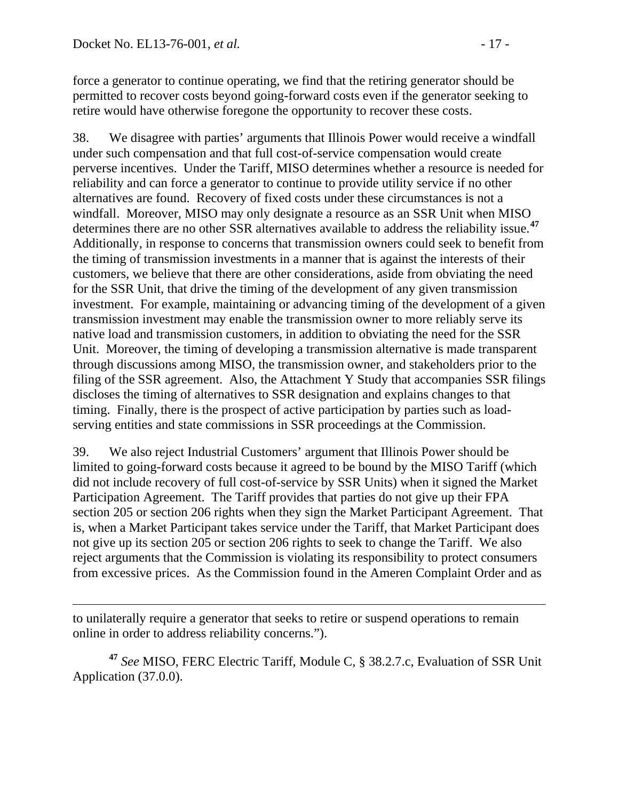$\overline{a}$ 

force a generator to continue operating, we find that the retiring generator should be permitted to recover costs beyond going-forward costs even if the generator seeking to retire would have otherwise foregone the opportunity to recover these costs.

38. We disagree with parties' arguments that Illinois Power would receive a windfall under such compensation and that full cost-of-service compensation would create perverse incentives. Under the Tariff, MISO determines whether a resource is needed for reliability and can force a generator to continue to provide utility service if no other alternatives are found. Recovery of fixed costs under these circumstances is not a windfall. Moreover, MISO may only designate a resource as an SSR Unit when MISO determines there are no other SSR alternatives available to address the reliability issue.**[47](#page-16-0)** Additionally, in response to concerns that transmission owners could seek to benefit from the timing of transmission investments in a manner that is against the interests of their customers, we believe that there are other considerations, aside from obviating the need for the SSR Unit, that drive the timing of the development of any given transmission investment. For example, maintaining or advancing timing of the development of a given transmission investment may enable the transmission owner to more reliably serve its native load and transmission customers, in addition to obviating the need for the SSR Unit. Moreover, the timing of developing a transmission alternative is made transparent through discussions among MISO, the transmission owner, and stakeholders prior to the filing of the SSR agreement. Also, the Attachment Y Study that accompanies SSR filings discloses the timing of alternatives to SSR designation and explains changes to that timing. Finally, there is the prospect of active participation by parties such as loadserving entities and state commissions in SSR proceedings at the Commission.

39. We also reject Industrial Customers' argument that Illinois Power should be limited to going-forward costs because it agreed to be bound by the MISO Tariff (which did not include recovery of full cost-of-service by SSR Units) when it signed the Market Participation Agreement. The Tariff provides that parties do not give up their FPA section 205 or section 206 rights when they sign the Market Participant Agreement. That is, when a Market Participant takes service under the Tariff, that Market Participant does not give up its section 205 or section 206 rights to seek to change the Tariff. We also reject arguments that the Commission is violating its responsibility to protect consumers from excessive prices. As the Commission found in the Ameren Complaint Order and as

to unilaterally require a generator that seeks to retire or suspend operations to remain online in order to address reliability concerns.").

<span id="page-16-0"></span>**<sup>47</sup>** *See* MISO, FERC Electric Tariff, Module C, § 38.2.7.c, Evaluation of SSR Unit Application (37.0.0).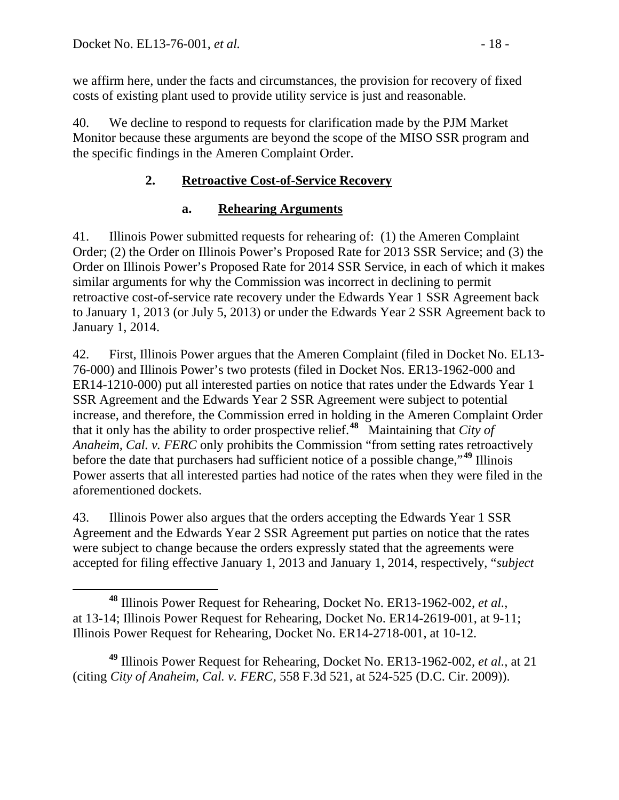we affirm here, under the facts and circumstances, the provision for recovery of fixed costs of existing plant used to provide utility service is just and reasonable.

40. We decline to respond to requests for clarification made by the PJM Market Monitor because these arguments are beyond the scope of the MISO SSR program and the specific findings in the Ameren Complaint Order.

# **2. Retroactive Cost-of-Service Recovery**

### **a. Rehearing Arguments**

41. Illinois Power submitted requests for rehearing of: (1) the Ameren Complaint Order; (2) the Order on Illinois Power's Proposed Rate for 2013 SSR Service; and (3) the Order on Illinois Power's Proposed Rate for 2014 SSR Service, in each of which it makes similar arguments for why the Commission was incorrect in declining to permit retroactive cost-of-service rate recovery under the Edwards Year 1 SSR Agreement back to January 1, 2013 (or July 5, 2013) or under the Edwards Year 2 SSR Agreement back to January 1, 2014.

42. First, Illinois Power argues that the Ameren Complaint (filed in Docket No. EL13- 76-000) and Illinois Power's two protests (filed in Docket Nos. ER13-1962-000 and ER14-1210-000) put all interested parties on notice that rates under the Edwards Year 1 SSR Agreement and the Edwards Year 2 SSR Agreement were subject to potential increase, and therefore, the Commission erred in holding in the Ameren Complaint Order that it only has the ability to order prospective relief.**[48](#page-17-0)** Maintaining that *City of Anaheim, Cal. v. FERC* only prohibits the Commission "from setting rates retroactively before the date that purchasers had sufficient notice of a possible change,"**[49](#page-17-1)** Illinois Power asserts that all interested parties had notice of the rates when they were filed in the aforementioned dockets.

43. Illinois Power also argues that the orders accepting the Edwards Year 1 SSR Agreement and the Edwards Year 2 SSR Agreement put parties on notice that the rates were subject to change because the orders expressly stated that the agreements were accepted for filing effective January 1, 2013 and January 1, 2014, respectively, "*subject* 

<span id="page-17-1"></span>**<sup>49</sup>** Illinois Power Request for Rehearing, Docket No. ER13-1962-002, *et al.*, at 21 (citing *City of Anaheim, Cal. v. FERC,* 558 F.3d 521, at 524-525 (D.C. Cir. 2009)).

<span id="page-17-0"></span>**<sup>48</sup>** Illinois Power Request for Rehearing, Docket No. ER13-1962-002, *et al.*, at 13-14; Illinois Power Request for Rehearing, Docket No. ER14-2619-001, at 9-11; Illinois Power Request for Rehearing, Docket No. ER14-2718-001, at 10-12.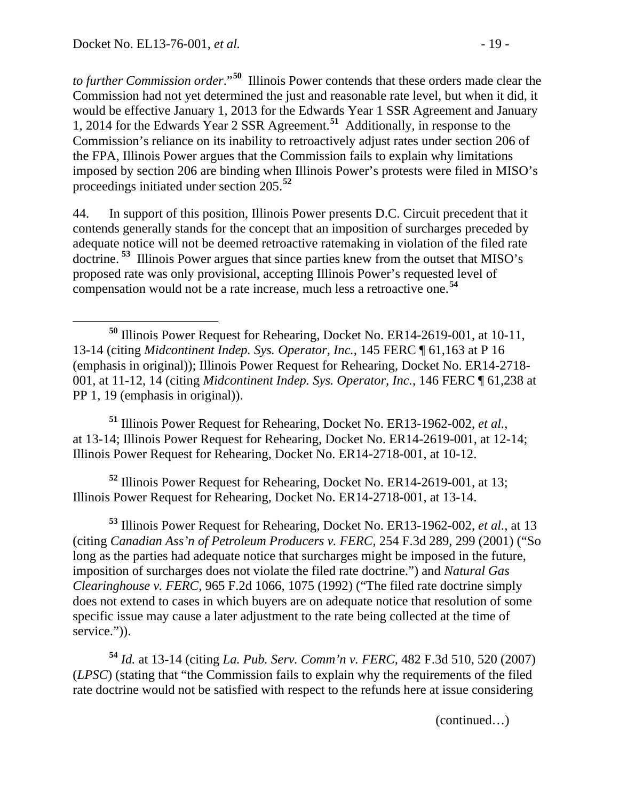*to further Commission order*."**[50](#page-18-0)** Illinois Power contends that these orders made clear the Commission had not yet determined the just and reasonable rate level, but when it did, it would be effective January 1, 2013 for the Edwards Year 1 SSR Agreement and January 1, 2014 for the Edwards Year 2 SSR Agreement.**[51](#page-18-1)** Additionally, in response to the Commission's reliance on its inability to retroactively adjust rates under section 206 of the FPA, Illinois Power argues that the Commission fails to explain why limitations imposed by section 206 are binding when Illinois Power's protests were filed in MISO's proceedings initiated under section 205.**[52](#page-18-2)**

44. In support of this position, Illinois Power presents D.C. Circuit precedent that it contends generally stands for the concept that an imposition of surcharges preceded by adequate notice will not be deemed retroactive ratemaking in violation of the filed rate doctrine. **[53](#page-18-3)** Illinois Power argues that since parties knew from the outset that MISO's proposed rate was only provisional, accepting Illinois Power's requested level of compensation would not be a rate increase, much less a retroactive one.**[54](#page-18-4)**

<span id="page-18-1"></span>**<sup>51</sup>** Illinois Power Request for Rehearing, Docket No. ER13-1962-002, *et al.*, at 13-14; Illinois Power Request for Rehearing, Docket No. ER14-2619-001, at 12-14; Illinois Power Request for Rehearing, Docket No. ER14-2718-001, at 10-12.

<span id="page-18-2"></span>**<sup>52</sup>** Illinois Power Request for Rehearing, Docket No. ER14-2619-001, at 13; Illinois Power Request for Rehearing, Docket No. ER14-2718-001, at 13-14.

<span id="page-18-3"></span>**<sup>53</sup>** Illinois Power Request for Rehearing, Docket No. ER13-1962-002, *et al.*, at 13 (citing *Canadian Ass'n of Petroleum Producers v. FERC*, 254 F.3d 289, 299 (2001) ("So long as the parties had adequate notice that surcharges might be imposed in the future, imposition of surcharges does not violate the filed rate doctrine.") and *Natural Gas Clearinghouse v. FERC*, 965 F.2d 1066, 1075 (1992) ("The filed rate doctrine simply does not extend to cases in which buyers are on adequate notice that resolution of some specific issue may cause a later adjustment to the rate being collected at the time of service.")).

<span id="page-18-4"></span>**<sup>54</sup>** *Id.* at 13-14 (citing *La. Pub. Serv. Comm'n v. FERC*, 482 F.3d 510, 520 (2007) (*LPSC*) (stating that "the Commission fails to explain why the requirements of the filed rate doctrine would not be satisfied with respect to the refunds here at issue considering

(continued…)

<span id="page-18-0"></span>**<sup>50</sup>** Illinois Power Request for Rehearing, Docket No. ER14-2619-001, at 10-11, 13-14 (citing *Midcontinent Indep. Sys. Operator, Inc.*, 145 FERC ¶ 61,163 at P 16 (emphasis in original)); Illinois Power Request for Rehearing, Docket No. ER14-2718- 001, at 11-12, 14 (citing *Midcontinent Indep. Sys. Operator, Inc.*, 146 FERC ¶ 61,238 at PP 1, 19 (emphasis in original)).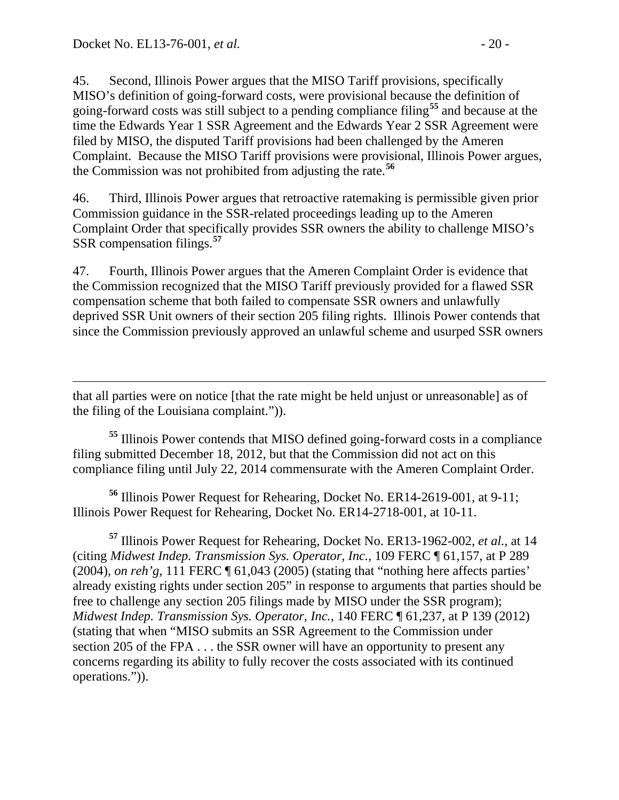45. Second, Illinois Power argues that the MISO Tariff provisions, specifically MISO's definition of going-forward costs, were provisional because the definition of going-forward costs was still subject to a pending compliance filing**[55](#page-19-0)** and because at the time the Edwards Year 1 SSR Agreement and the Edwards Year 2 SSR Agreement were filed by MISO, the disputed Tariff provisions had been challenged by the Ameren Complaint. Because the MISO Tariff provisions were provisional, Illinois Power argues, the Commission was not prohibited from adjusting the rate.**[56](#page-19-1)**

46. Third, Illinois Power argues that retroactive ratemaking is permissible given prior Commission guidance in the SSR-related proceedings leading up to the Ameren Complaint Order that specifically provides SSR owners the ability to challenge MISO's SSR compensation filings.**[57](#page-19-2)**

47. Fourth, Illinois Power argues that the Ameren Complaint Order is evidence that the Commission recognized that the MISO Tariff previously provided for a flawed SSR compensation scheme that both failed to compensate SSR owners and unlawfully deprived SSR Unit owners of their section 205 filing rights. Illinois Power contends that since the Commission previously approved an unlawful scheme and usurped SSR owners

 $\overline{a}$ that all parties were on notice [that the rate might be held unjust or unreasonable] as of the filing of the Louisiana complaint.")).

<span id="page-19-0"></span>**<sup>55</sup>** Illinois Power contends that MISO defined going-forward costs in a compliance filing submitted December 18, 2012, but that the Commission did not act on this compliance filing until July 22, 2014 commensurate with the Ameren Complaint Order.

<span id="page-19-1"></span>**<sup>56</sup>** Illinois Power Request for Rehearing, Docket No. ER14-2619-001, at 9-11; Illinois Power Request for Rehearing, Docket No. ER14-2718-001, at 10-11.

<span id="page-19-2"></span>**<sup>57</sup>** Illinois Power Request for Rehearing, Docket No. ER13-1962-002, *et al.*, at 14 (citing *Midwest Indep. Transmission Sys. Operator, Inc.*, 109 FERC ¶ 61,157, at P 289 (2004), *on reh'g*, 111 FERC ¶ 61,043 (2005) (stating that "nothing here affects parties' already existing rights under section 205" in response to arguments that parties should be free to challenge any section 205 filings made by MISO under the SSR program); *Midwest Indep. Transmission Sys. Operator, Inc.*, 140 FERC ¶ 61,237, at P 139 (2012) (stating that when "MISO submits an SSR Agreement to the Commission under section 205 of the FPA . . . the SSR owner will have an opportunity to present any concerns regarding its ability to fully recover the costs associated with its continued operations.")).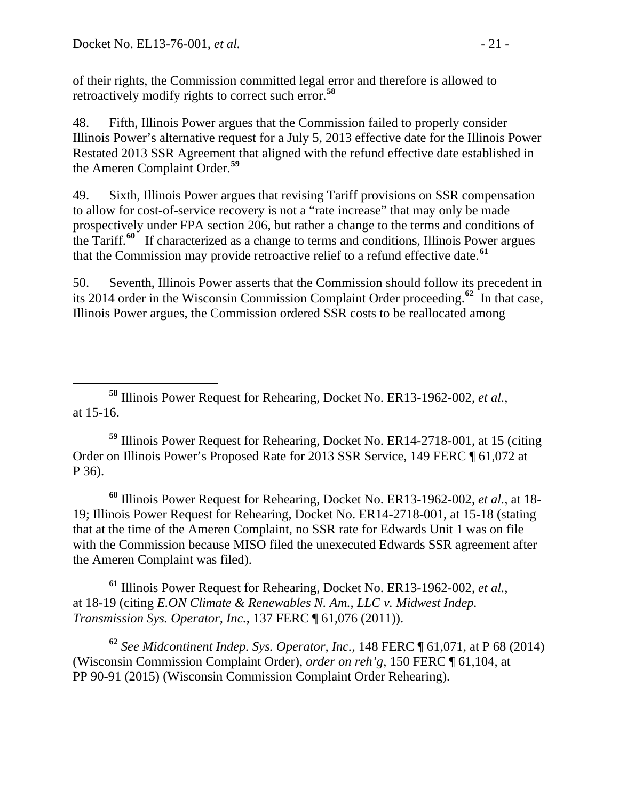of their rights, the Commission committed legal error and therefore is allowed to retroactively modify rights to correct such error.**[58](#page-20-0)**

48. Fifth, Illinois Power argues that the Commission failed to properly consider Illinois Power's alternative request for a July 5, 2013 effective date for the Illinois Power Restated 2013 SSR Agreement that aligned with the refund effective date established in the Ameren Complaint Order.**[59](#page-20-1)**

49. Sixth, Illinois Power argues that revising Tariff provisions on SSR compensation to allow for cost-of-service recovery is not a "rate increase" that may only be made prospectively under FPA section 206, but rather a change to the terms and conditions of the Tariff.**[60](#page-20-2)** If characterized as a change to terms and conditions, Illinois Power argues that the Commission may provide retroactive relief to a refund effective date.**[61](#page-20-3)**

50. Seventh, Illinois Power asserts that the Commission should follow its precedent in its 2014 order in the Wisconsin Commission Complaint Order proceeding.<sup>[62](#page-20-4)</sup> In that case, Illinois Power argues, the Commission ordered SSR costs to be reallocated among

<span id="page-20-1"></span>**<sup>59</sup>** Illinois Power Request for Rehearing, Docket No. ER14-2718-001, at 15 (citing Order on Illinois Power's Proposed Rate for 2013 SSR Service, 149 FERC ¶ 61,072 at P 36).

<span id="page-20-2"></span>**<sup>60</sup>** Illinois Power Request for Rehearing, Docket No. ER13-1962-002, *et al.*, at 18- 19; Illinois Power Request for Rehearing, Docket No. ER14-2718-001, at 15-18 (stating that at the time of the Ameren Complaint, no SSR rate for Edwards Unit 1 was on file with the Commission because MISO filed the unexecuted Edwards SSR agreement after the Ameren Complaint was filed).

<span id="page-20-3"></span>**<sup>61</sup>** Illinois Power Request for Rehearing, Docket No. ER13-1962-002, *et al.*, at 18-19 (citing *E.ON Climate & Renewables N. Am., LLC v. Midwest Indep. Transmission Sys. Operator, Inc.*, 137 FERC ¶ 61,076 (2011)).

<span id="page-20-4"></span>**<sup>62</sup>** *See Midcontinent Indep. Sys. Operator, Inc.*, 148 FERC ¶ 61,071, at P 68 (2014) (Wisconsin Commission Complaint Order), *order on reh'g*, 150 FERC ¶ 61,104, at PP 90-91 (2015) (Wisconsin Commission Complaint Order Rehearing).

<span id="page-20-0"></span>**<sup>58</sup>** Illinois Power Request for Rehearing, Docket No. ER13-1962-002, *et al.*, at 15-16.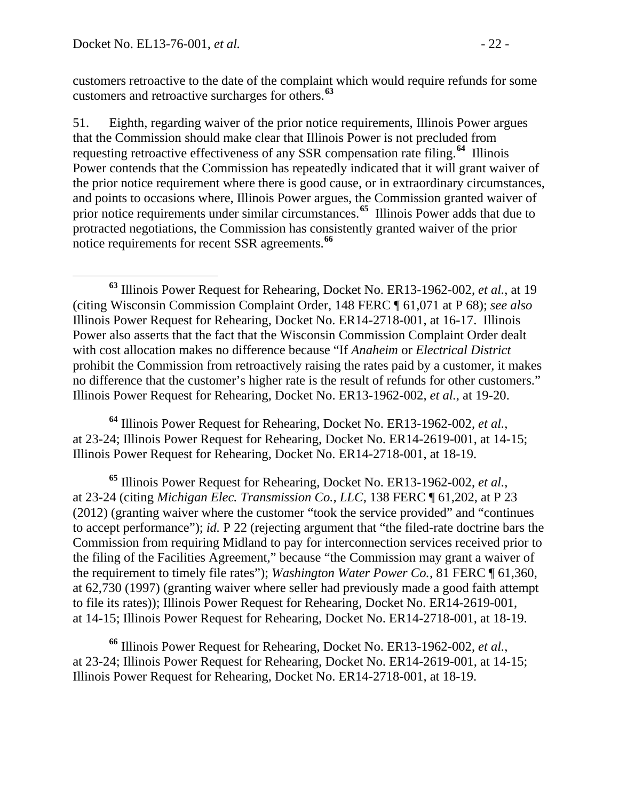customers retroactive to the date of the complaint which would require refunds for some customers and retroactive surcharges for others.**[63](#page-21-0)**

51. Eighth, regarding waiver of the prior notice requirements, Illinois Power argues that the Commission should make clear that Illinois Power is not precluded from requesting retroactive effectiveness of any SSR compensation rate filing.**[64](#page-21-1)** Illinois Power contends that the Commission has repeatedly indicated that it will grant waiver of the prior notice requirement where there is good cause, or in extraordinary circumstances, and points to occasions where, Illinois Power argues, the Commission granted waiver of prior notice requirements under similar circumstances.**[65](#page-21-2)** Illinois Power adds that due to protracted negotiations, the Commission has consistently granted waiver of the prior notice requirements for recent SSR agreements.**[66](#page-21-3)**

<span id="page-21-1"></span>**<sup>64</sup>** Illinois Power Request for Rehearing, Docket No. ER13-1962-002, *et al.*, at 23-24; Illinois Power Request for Rehearing, Docket No. ER14-2619-001, at 14-15; Illinois Power Request for Rehearing, Docket No. ER14-2718-001, at 18-19.

<span id="page-21-2"></span>**<sup>65</sup>** Illinois Power Request for Rehearing, Docket No. ER13-1962-002, *et al.*, at 23-24 (citing *Michigan Elec. Transmission Co., LLC*, 138 FERC ¶ 61,202, at P 23 (2012) (granting waiver where the customer "took the service provided" and "continues to accept performance"); *id.* P 22 (rejecting argument that "the filed-rate doctrine bars the Commission from requiring Midland to pay for interconnection services received prior to the filing of the Facilities Agreement," because "the Commission may grant a waiver of the requirement to timely file rates"); *Washington Water Power Co.*, 81 FERC ¶ 61,360, at 62,730 (1997) (granting waiver where seller had previously made a good faith attempt to file its rates)); Illinois Power Request for Rehearing, Docket No. ER14-2619-001, at 14-15; Illinois Power Request for Rehearing, Docket No. ER14-2718-001, at 18-19.

<span id="page-21-3"></span>**<sup>66</sup>** Illinois Power Request for Rehearing, Docket No. ER13-1962-002, *et al.*, at 23-24; Illinois Power Request for Rehearing, Docket No. ER14-2619-001, at 14-15; Illinois Power Request for Rehearing, Docket No. ER14-2718-001, at 18-19.

<span id="page-21-0"></span>**<sup>63</sup>** Illinois Power Request for Rehearing, Docket No. ER13-1962-002, *et al.*, at 19 (citing Wisconsin Commission Complaint Order, 148 FERC ¶ 61,071 at P 68); *see also* Illinois Power Request for Rehearing, Docket No. ER14-2718-001, at 16-17. Illinois Power also asserts that the fact that the Wisconsin Commission Complaint Order dealt with cost allocation makes no difference because "If *Anaheim* or *Electrical District* prohibit the Commission from retroactively raising the rates paid by a customer, it makes no difference that the customer's higher rate is the result of refunds for other customers." Illinois Power Request for Rehearing, Docket No. ER13-1962-002, *et al.*, at 19-20.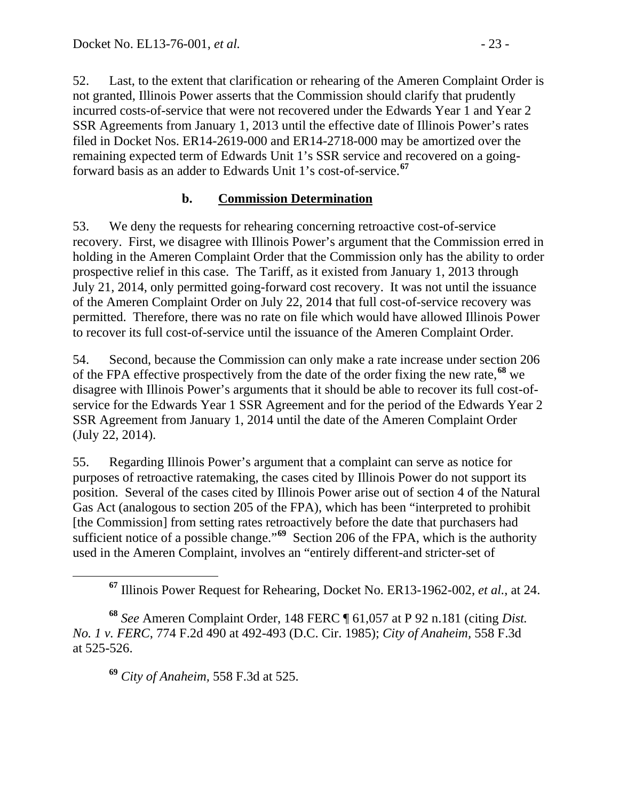52. Last, to the extent that clarification or rehearing of the Ameren Complaint Order is not granted, Illinois Power asserts that the Commission should clarify that prudently incurred costs-of-service that were not recovered under the Edwards Year 1 and Year 2 SSR Agreements from January 1, 2013 until the effective date of Illinois Power's rates filed in Docket Nos. ER14-2619-000 and ER14-2718-000 may be amortized over the remaining expected term of Edwards Unit 1's SSR service and recovered on a goingforward basis as an adder to Edwards Unit 1's cost-of-service.**[67](#page-22-0)**

### **b. Commission Determination**

53. We deny the requests for rehearing concerning retroactive cost-of-service recovery. First, we disagree with Illinois Power's argument that the Commission erred in holding in the Ameren Complaint Order that the Commission only has the ability to order prospective relief in this case. The Tariff, as it existed from January 1, 2013 through July 21, 2014, only permitted going-forward cost recovery. It was not until the issuance of the Ameren Complaint Order on July 22, 2014 that full cost-of-service recovery was permitted. Therefore, there was no rate on file which would have allowed Illinois Power to recover its full cost-of-service until the issuance of the Ameren Complaint Order.

54. Second, because the Commission can only make a rate increase under section 206 of the FPA effective prospectively from the date of the order fixing the new rate,**[68](#page-22-1)** we disagree with Illinois Power's arguments that it should be able to recover its full cost-ofservice for the Edwards Year 1 SSR Agreement and for the period of the Edwards Year 2 SSR Agreement from January 1, 2014 until the date of the Ameren Complaint Order (July 22, 2014).

55. Regarding Illinois Power's argument that a complaint can serve as notice for purposes of retroactive ratemaking, the cases cited by Illinois Power do not support its position. Several of the cases cited by Illinois Power arise out of section 4 of the Natural Gas Act (analogous to section 205 of the FPA), which has been "interpreted to prohibit [the Commission] from setting rates retroactively before the date that purchasers had sufficient notice of a possible change."**[69](#page-22-2)** Section 206 of the FPA, which is the authority used in the Ameren Complaint, involves an "entirely different-and stricter-set of

**<sup>69</sup>** *City of Anaheim,* 558 F.3d at 525.

**<sup>67</sup>** Illinois Power Request for Rehearing, Docket No. ER13-1962-002, *et al.*, at 24.

<span id="page-22-2"></span><span id="page-22-1"></span><span id="page-22-0"></span>**<sup>68</sup>** *See* Ameren Complaint Order, 148 FERC ¶ 61,057 at P 92 n.181 (citing *Dist. No. 1 v. FERC*, 774 F.2d 490 at 492-493 (D.C. Cir. 1985); *City of Anaheim,* 558 F.3d at 525-526.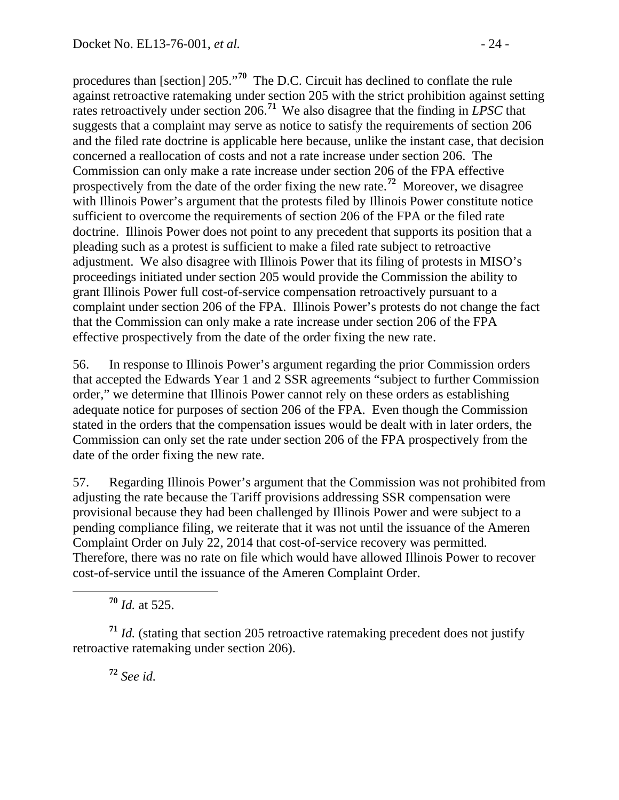procedures than [section] 205."**[70](#page-23-0)** The D.C. Circuit has declined to conflate the rule against retroactive ratemaking under section 205 with the strict prohibition against setting rates retroactively under section 206.**[71](#page-23-1)** We also disagree that the finding in *LPSC* that suggests that a complaint may serve as notice to satisfy the requirements of section 206 and the filed rate doctrine is applicable here because, unlike the instant case, that decision concerned a reallocation of costs and not a rate increase under section 206. The Commission can only make a rate increase under section 206 of the FPA effective prospectively from the date of the order fixing the new rate.**[72](#page-23-2)** Moreover, we disagree with Illinois Power's argument that the protests filed by Illinois Power constitute notice sufficient to overcome the requirements of section 206 of the FPA or the filed rate doctrine. Illinois Power does not point to any precedent that supports its position that a pleading such as a protest is sufficient to make a filed rate subject to retroactive adjustment. We also disagree with Illinois Power that its filing of protests in MISO's proceedings initiated under section 205 would provide the Commission the ability to grant Illinois Power full cost-of-service compensation retroactively pursuant to a complaint under section 206 of the FPA. Illinois Power's protests do not change the fact that the Commission can only make a rate increase under section 206 of the FPA effective prospectively from the date of the order fixing the new rate.

56. In response to Illinois Power's argument regarding the prior Commission orders that accepted the Edwards Year 1 and 2 SSR agreements "subject to further Commission order," we determine that Illinois Power cannot rely on these orders as establishing adequate notice for purposes of section 206 of the FPA. Even though the Commission stated in the orders that the compensation issues would be dealt with in later orders, the Commission can only set the rate under section 206 of the FPA prospectively from the date of the order fixing the new rate.

57. Regarding Illinois Power's argument that the Commission was not prohibited from adjusting the rate because the Tariff provisions addressing SSR compensation were provisional because they had been challenged by Illinois Power and were subject to a pending compliance filing, we reiterate that it was not until the issuance of the Ameren Complaint Order on July 22, 2014 that cost-of-service recovery was permitted. Therefore, there was no rate on file which would have allowed Illinois Power to recover cost-of-service until the issuance of the Ameren Complaint Order.

**<sup>70</sup>** *Id.* at 525.

<span id="page-23-2"></span><span id="page-23-1"></span><span id="page-23-0"></span>**<sup>71</sup>** *Id.* (stating that section 205 retroactive ratemaking precedent does not justify retroactive ratemaking under section 206).

**<sup>72</sup>** *See id.*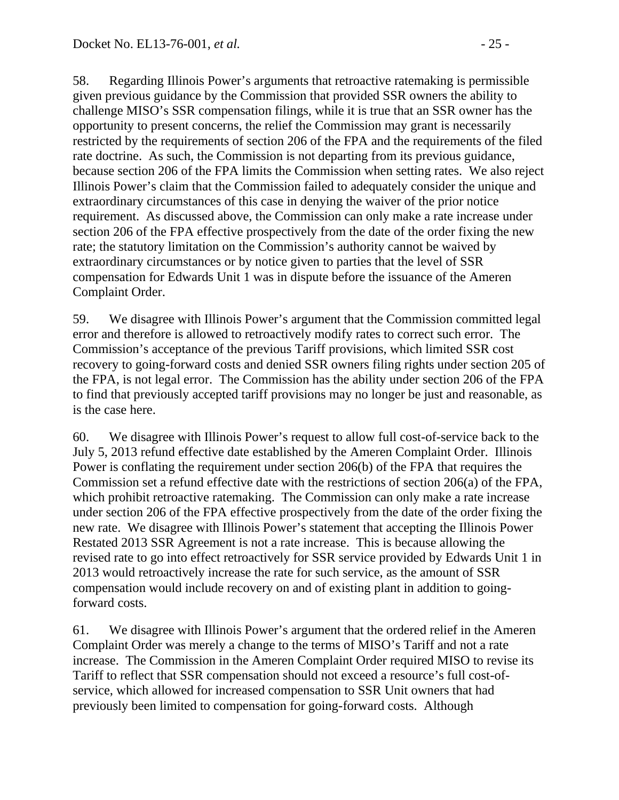58. Regarding Illinois Power's arguments that retroactive ratemaking is permissible given previous guidance by the Commission that provided SSR owners the ability to challenge MISO's SSR compensation filings, while it is true that an SSR owner has the opportunity to present concerns, the relief the Commission may grant is necessarily restricted by the requirements of section 206 of the FPA and the requirements of the filed rate doctrine. As such, the Commission is not departing from its previous guidance, because section 206 of the FPA limits the Commission when setting rates. We also reject Illinois Power's claim that the Commission failed to adequately consider the unique and extraordinary circumstances of this case in denying the waiver of the prior notice requirement. As discussed above, the Commission can only make a rate increase under section 206 of the FPA effective prospectively from the date of the order fixing the new rate; the statutory limitation on the Commission's authority cannot be waived by extraordinary circumstances or by notice given to parties that the level of SSR compensation for Edwards Unit 1 was in dispute before the issuance of the Ameren Complaint Order.

59. We disagree with Illinois Power's argument that the Commission committed legal error and therefore is allowed to retroactively modify rates to correct such error. The Commission's acceptance of the previous Tariff provisions, which limited SSR cost recovery to going-forward costs and denied SSR owners filing rights under section 205 of the FPA, is not legal error. The Commission has the ability under section 206 of the FPA to find that previously accepted tariff provisions may no longer be just and reasonable, as is the case here.

60. We disagree with Illinois Power's request to allow full cost-of-service back to the July 5, 2013 refund effective date established by the Ameren Complaint Order. Illinois Power is conflating the requirement under section 206(b) of the FPA that requires the Commission set a refund effective date with the restrictions of section 206(a) of the FPA, which prohibit retroactive ratemaking. The Commission can only make a rate increase under section 206 of the FPA effective prospectively from the date of the order fixing the new rate. We disagree with Illinois Power's statement that accepting the Illinois Power Restated 2013 SSR Agreement is not a rate increase. This is because allowing the revised rate to go into effect retroactively for SSR service provided by Edwards Unit 1 in 2013 would retroactively increase the rate for such service, as the amount of SSR compensation would include recovery on and of existing plant in addition to goingforward costs.

61. We disagree with Illinois Power's argument that the ordered relief in the Ameren Complaint Order was merely a change to the terms of MISO's Tariff and not a rate increase. The Commission in the Ameren Complaint Order required MISO to revise its Tariff to reflect that SSR compensation should not exceed a resource's full cost-ofservice, which allowed for increased compensation to SSR Unit owners that had previously been limited to compensation for going-forward costs. Although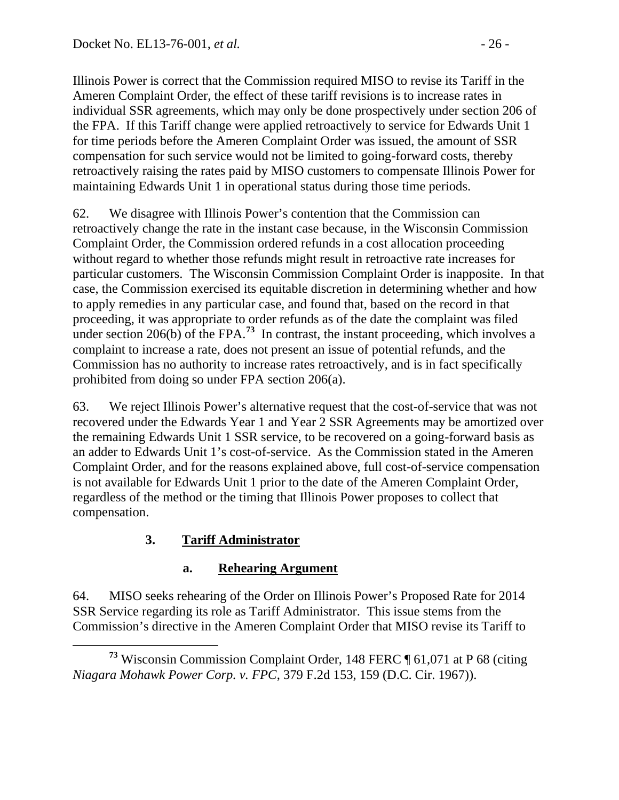Illinois Power is correct that the Commission required MISO to revise its Tariff in the Ameren Complaint Order, the effect of these tariff revisions is to increase rates in individual SSR agreements, which may only be done prospectively under section 206 of the FPA. If this Tariff change were applied retroactively to service for Edwards Unit 1 for time periods before the Ameren Complaint Order was issued, the amount of SSR compensation for such service would not be limited to going-forward costs, thereby retroactively raising the rates paid by MISO customers to compensate Illinois Power for maintaining Edwards Unit 1 in operational status during those time periods.

62. We disagree with Illinois Power's contention that the Commission can retroactively change the rate in the instant case because, in the Wisconsin Commission Complaint Order, the Commission ordered refunds in a cost allocation proceeding without regard to whether those refunds might result in retroactive rate increases for particular customers. The Wisconsin Commission Complaint Order is inapposite. In that case, the Commission exercised its equitable discretion in determining whether and how to apply remedies in any particular case, and found that, based on the record in that proceeding, it was appropriate to order refunds as of the date the complaint was filed under section 206(b) of the FPA.<sup>[73](#page-25-0)</sup> In contrast, the instant proceeding, which involves a complaint to increase a rate, does not present an issue of potential refunds, and the Commission has no authority to increase rates retroactively, and is in fact specifically prohibited from doing so under FPA section 206(a).

63. We reject Illinois Power's alternative request that the cost-of-service that was not recovered under the Edwards Year 1 and Year 2 SSR Agreements may be amortized over the remaining Edwards Unit 1 SSR service, to be recovered on a going-forward basis as an adder to Edwards Unit 1's cost-of-service. As the Commission stated in the Ameren Complaint Order, and for the reasons explained above, full cost-of-service compensation is not available for Edwards Unit 1 prior to the date of the Ameren Complaint Order, regardless of the method or the timing that Illinois Power proposes to collect that compensation.

# **3. Tariff Administrator**

# **a. Rehearing Argument**

64. MISO seeks rehearing of the Order on Illinois Power's Proposed Rate for 2014 SSR Service regarding its role as Tariff Administrator. This issue stems from the Commission's directive in the Ameren Complaint Order that MISO revise its Tariff to

<span id="page-25-0"></span>**<sup>73</sup>** Wisconsin Commission Complaint Order, 148 FERC ¶ 61,071 at P 68 (citing *Niagara Mohawk Power Corp. v. FPC*, 379 F.2d 153, 159 (D.C. Cir. 1967)).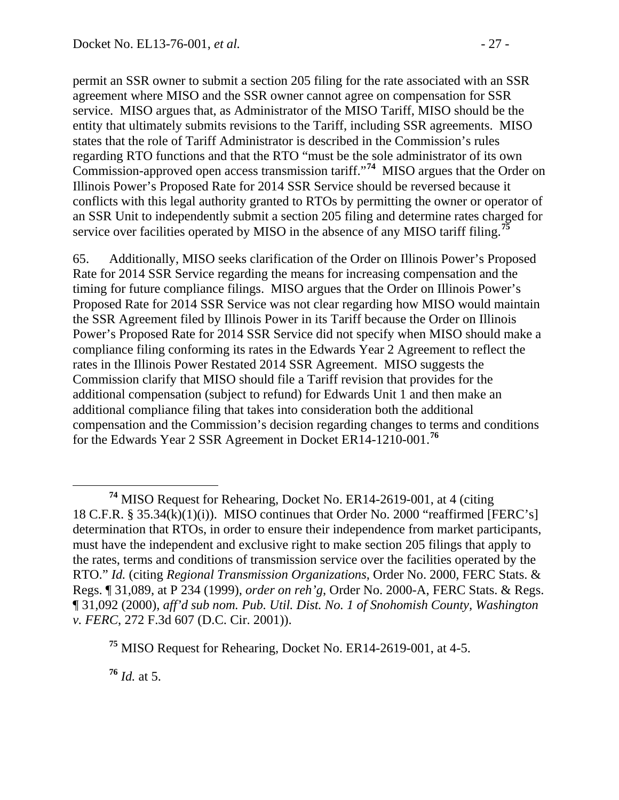permit an SSR owner to submit a section 205 filing for the rate associated with an SSR agreement where MISO and the SSR owner cannot agree on compensation for SSR service. MISO argues that, as Administrator of the MISO Tariff, MISO should be the entity that ultimately submits revisions to the Tariff, including SSR agreements. MISO states that the role of Tariff Administrator is described in the Commission's rules regarding RTO functions and that the RTO "must be the sole administrator of its own Commission-approved open access transmission tariff."**[74](#page-26-0)** MISO argues that the Order on Illinois Power's Proposed Rate for 2014 SSR Service should be reversed because it conflicts with this legal authority granted to RTOs by permitting the owner or operator of an SSR Unit to independently submit a section 205 filing and determine rates charged for service over facilities operated by MISO in the absence of any MISO tariff filing.**[75](#page-26-1)**

65. Additionally, MISO seeks clarification of the Order on Illinois Power's Proposed Rate for 2014 SSR Service regarding the means for increasing compensation and the timing for future compliance filings. MISO argues that the Order on Illinois Power's Proposed Rate for 2014 SSR Service was not clear regarding how MISO would maintain the SSR Agreement filed by Illinois Power in its Tariff because the Order on Illinois Power's Proposed Rate for 2014 SSR Service did not specify when MISO should make a compliance filing conforming its rates in the Edwards Year 2 Agreement to reflect the rates in the Illinois Power Restated 2014 SSR Agreement. MISO suggests the Commission clarify that MISO should file a Tariff revision that provides for the additional compensation (subject to refund) for Edwards Unit 1 and then make an additional compliance filing that takes into consideration both the additional compensation and the Commission's decision regarding changes to terms and conditions for the Edwards Year 2 SSR Agreement in Docket ER14-1210-001.**[76](#page-26-2)**

<span id="page-26-2"></span>**<sup>76</sup>** *Id.* at 5.

<span id="page-26-0"></span>**<sup>74</sup>** MISO Request for Rehearing, Docket No. ER14-2619-001, at 4 (citing 18 C.F.R.  $\S 35.34(k)(1)(i)$ . MISO continues that Order No. 2000 "reaffirmed [FERC's] determination that RTOs, in order to ensure their independence from market participants, must have the independent and exclusive right to make section 205 filings that apply to the rates, terms and conditions of transmission service over the facilities operated by the RTO." *Id.* (citing *Regional Transmission Organizations*, Order No. 2000, FERC Stats. & Regs. ¶ 31,089, at P 234 (1999), *order on reh'g*, Order No. 2000-A, FERC Stats. & Regs. ¶ 31,092 (2000), *aff'd sub nom. Pub. Util. Dist. No. 1 of Snohomish County, Washington v. FERC*, 272 F.3d 607 (D.C. Cir. 2001)).

<span id="page-26-1"></span>**<sup>75</sup>** MISO Request for Rehearing, Docket No. ER14-2619-001, at 4-5.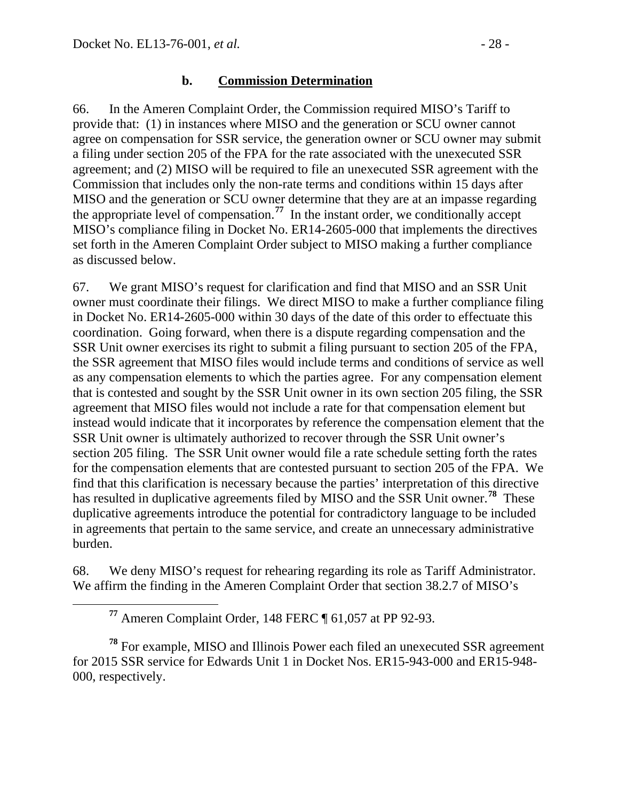66. In the Ameren Complaint Order, the Commission required MISO's Tariff to provide that: (1) in instances where MISO and the generation or SCU owner cannot agree on compensation for SSR service, the generation owner or SCU owner may submit a filing under section 205 of the FPA for the rate associated with the unexecuted SSR agreement; and (2) MISO will be required to file an unexecuted SSR agreement with the Commission that includes only the non-rate terms and conditions within 15 days after MISO and the generation or SCU owner determine that they are at an impasse regarding the appropriate level of compensation.**[77](#page-27-0)** In the instant order, we conditionally accept MISO's compliance filing in Docket No. ER14-2605-000 that implements the directives set forth in the Ameren Complaint Order subject to MISO making a further compliance as discussed below.

67. We grant MISO's request for clarification and find that MISO and an SSR Unit owner must coordinate their filings. We direct MISO to make a further compliance filing in Docket No. ER14-2605-000 within 30 days of the date of this order to effectuate this coordination. Going forward, when there is a dispute regarding compensation and the SSR Unit owner exercises its right to submit a filing pursuant to section 205 of the FPA, the SSR agreement that MISO files would include terms and conditions of service as well as any compensation elements to which the parties agree. For any compensation element that is contested and sought by the SSR Unit owner in its own section 205 filing, the SSR agreement that MISO files would not include a rate for that compensation element but instead would indicate that it incorporates by reference the compensation element that the SSR Unit owner is ultimately authorized to recover through the SSR Unit owner's section 205 filing. The SSR Unit owner would file a rate schedule setting forth the rates for the compensation elements that are contested pursuant to section 205 of the FPA. We find that this clarification is necessary because the parties' interpretation of this directive has resulted in duplicative agreements filed by MISO and the SSR Unit owner.**[78](#page-27-1)** These duplicative agreements introduce the potential for contradictory language to be included in agreements that pertain to the same service, and create an unnecessary administrative burden.

68. We deny MISO's request for rehearing regarding its role as Tariff Administrator. We affirm the finding in the Ameren Complaint Order that section 38.2.7 of MISO's

**<sup>77</sup>** Ameren Complaint Order, 148 FERC ¶ 61,057 at PP 92-93.

<span id="page-27-1"></span><span id="page-27-0"></span>**<sup>78</sup>** For example, MISO and Illinois Power each filed an unexecuted SSR agreement for 2015 SSR service for Edwards Unit 1 in Docket Nos. ER15-943-000 and ER15-948- 000, respectively.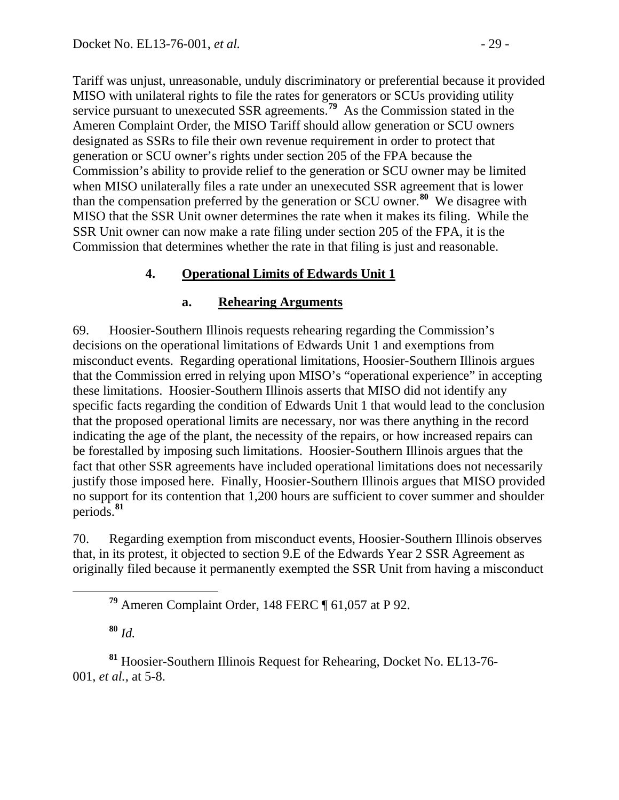Tariff was unjust, unreasonable, unduly discriminatory or preferential because it provided MISO with unilateral rights to file the rates for generators or SCUs providing utility service pursuant to unexecuted SSR agreements.**[79](#page-28-0)** As the Commission stated in the Ameren Complaint Order, the MISO Tariff should allow generation or SCU owners designated as SSRs to file their own revenue requirement in order to protect that generation or SCU owner's rights under section 205 of the FPA because the Commission's ability to provide relief to the generation or SCU owner may be limited when MISO unilaterally files a rate under an unexecuted SSR agreement that is lower than the compensation preferred by the generation or SCU owner. **[80](#page-28-1)** We disagree with MISO that the SSR Unit owner determines the rate when it makes its filing. While the SSR Unit owner can now make a rate filing under section 205 of the FPA, it is the Commission that determines whether the rate in that filing is just and reasonable.

### **4. Operational Limits of Edwards Unit 1**

### **a. Rehearing Arguments**

69. Hoosier-Southern Illinois requests rehearing regarding the Commission's decisions on the operational limitations of Edwards Unit 1 and exemptions from misconduct events. Regarding operational limitations, Hoosier-Southern Illinois argues that the Commission erred in relying upon MISO's "operational experience" in accepting these limitations. Hoosier-Southern Illinois asserts that MISO did not identify any specific facts regarding the condition of Edwards Unit 1 that would lead to the conclusion that the proposed operational limits are necessary, nor was there anything in the record indicating the age of the plant, the necessity of the repairs, or how increased repairs can be forestalled by imposing such limitations. Hoosier-Southern Illinois argues that the fact that other SSR agreements have included operational limitations does not necessarily justify those imposed here. Finally, Hoosier-Southern Illinois argues that MISO provided no support for its contention that 1,200 hours are sufficient to cover summer and shoulder periods.**[81](#page-28-2)**

70. Regarding exemption from misconduct events, Hoosier-Southern Illinois observes that, in its protest, it objected to section 9.E of the Edwards Year 2 SSR Agreement as originally filed because it permanently exempted the SSR Unit from having a misconduct

**<sup>79</sup>** Ameren Complaint Order, 148 FERC ¶ 61,057 at P 92.

**<sup>80</sup>** *Id.*

<span id="page-28-2"></span><span id="page-28-1"></span><span id="page-28-0"></span>**<sup>81</sup>** Hoosier-Southern Illinois Request for Rehearing, Docket No. EL13-76- 001, *et al.*, at 5-8.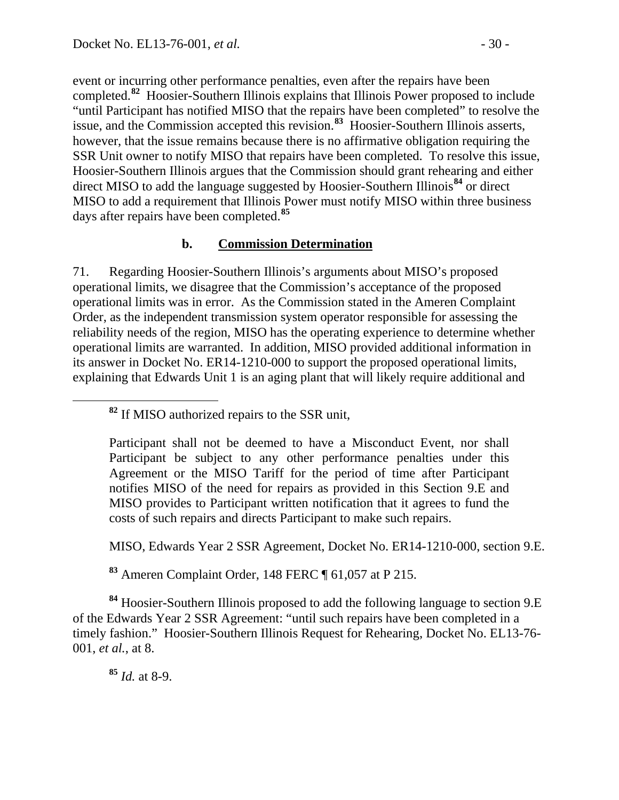event or incurring other performance penalties, even after the repairs have been completed.**[82](#page-29-0)** Hoosier-Southern Illinois explains that Illinois Power proposed to include "until Participant has notified MISO that the repairs have been completed" to resolve the issue, and the Commission accepted this revision.**[83](#page-29-1)** Hoosier-Southern Illinois asserts, however, that the issue remains because there is no affirmative obligation requiring the SSR Unit owner to notify MISO that repairs have been completed. To resolve this issue, Hoosier-Southern Illinois argues that the Commission should grant rehearing and either direct MISO to add the language suggested by Hoosier-Southern Illinois**[84](#page-29-2)** or direct MISO to add a requirement that Illinois Power must notify MISO within three business days after repairs have been completed.**[85](#page-29-3)**

### **b. Commission Determination**

71. Regarding Hoosier-Southern Illinois's arguments about MISO's proposed operational limits, we disagree that the Commission's acceptance of the proposed operational limits was in error. As the Commission stated in the Ameren Complaint Order, as the independent transmission system operator responsible for assessing the reliability needs of the region, MISO has the operating experience to determine whether operational limits are warranted. In addition, MISO provided additional information in its answer in Docket No. ER14-1210-000 to support the proposed operational limits, explaining that Edwards Unit 1 is an aging plant that will likely require additional and

<span id="page-29-0"></span>**<sup>82</sup>** If MISO authorized repairs to the SSR unit,

Participant shall not be deemed to have a Misconduct Event, nor shall Participant be subject to any other performance penalties under this Agreement or the MISO Tariff for the period of time after Participant notifies MISO of the need for repairs as provided in this Section 9.E and MISO provides to Participant written notification that it agrees to fund the costs of such repairs and directs Participant to make such repairs.

MISO, Edwards Year 2 SSR Agreement, Docket No. ER14-1210-000, section 9.E.

**<sup>83</sup>** Ameren Complaint Order, 148 FERC ¶ 61,057 at P 215.

<span id="page-29-3"></span><span id="page-29-2"></span><span id="page-29-1"></span>**<sup>84</sup>** Hoosier-Southern Illinois proposed to add the following language to section 9.E of the Edwards Year 2 SSR Agreement: "until such repairs have been completed in a timely fashion." Hoosier-Southern Illinois Request for Rehearing, Docket No. EL13-76- 001, *et al.*, at 8.

**<sup>85</sup>** *Id.* at 8-9.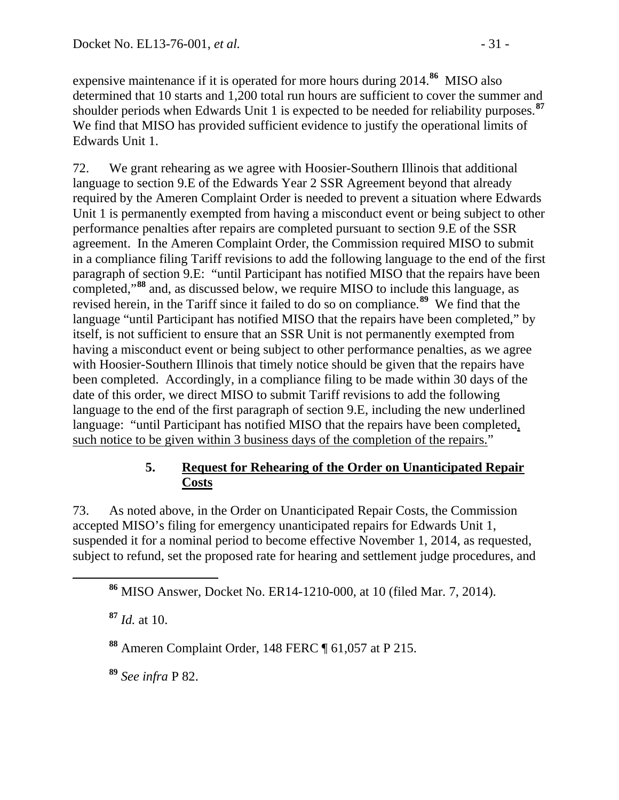expensive maintenance if it is operated for more hours during 2014.**[86](#page-30-0)** MISO also determined that 10 starts and 1,200 total run hours are sufficient to cover the summer and shoulder periods when Edwards Unit 1 is expected to be needed for reliability purposes.**[87](#page-30-1)** We find that MISO has provided sufficient evidence to justify the operational limits of Edwards Unit 1.

72. We grant rehearing as we agree with Hoosier-Southern Illinois that additional language to section 9.E of the Edwards Year 2 SSR Agreement beyond that already required by the Ameren Complaint Order is needed to prevent a situation where Edwards Unit 1 is permanently exempted from having a misconduct event or being subject to other performance penalties after repairs are completed pursuant to section 9.E of the SSR agreement. In the Ameren Complaint Order, the Commission required MISO to submit in a compliance filing Tariff revisions to add the following language to the end of the first paragraph of section 9.E: "until Participant has notified MISO that the repairs have been completed,"**[88](#page-30-2)** and, as discussed below, we require MISO to include this language, as revised herein, in the Tariff since it failed to do so on compliance.**[89](#page-30-3)** We find that the language "until Participant has notified MISO that the repairs have been completed," by itself, is not sufficient to ensure that an SSR Unit is not permanently exempted from having a misconduct event or being subject to other performance penalties, as we agree with Hoosier-Southern Illinois that timely notice should be given that the repairs have been completed. Accordingly, in a compliance filing to be made within 30 days of the date of this order, we direct MISO to submit Tariff revisions to add the following language to the end of the first paragraph of section 9.E, including the new underlined language: "until Participant has notified MISO that the repairs have been completed, such notice to be given within 3 business days of the completion of the repairs."

### **5. Request for Rehearing of the Order on Unanticipated Repair Costs**

73. As noted above, in the Order on Unanticipated Repair Costs, the Commission accepted MISO's filing for emergency unanticipated repairs for Edwards Unit 1, suspended it for a nominal period to become effective November 1, 2014, as requested, subject to refund, set the proposed rate for hearing and settlement judge procedures, and

<span id="page-30-0"></span>**<sup>86</sup>** MISO Answer, Docket No. ER14-1210-000, at 10 (filed Mar. 7, 2014).

<span id="page-30-1"></span>**<sup>87</sup>** *Id.* at 10.

<span id="page-30-2"></span>**<sup>88</sup>** Ameren Complaint Order, 148 FERC ¶ 61,057 at P 215.

<span id="page-30-3"></span>**<sup>89</sup>** *See infra* P 82.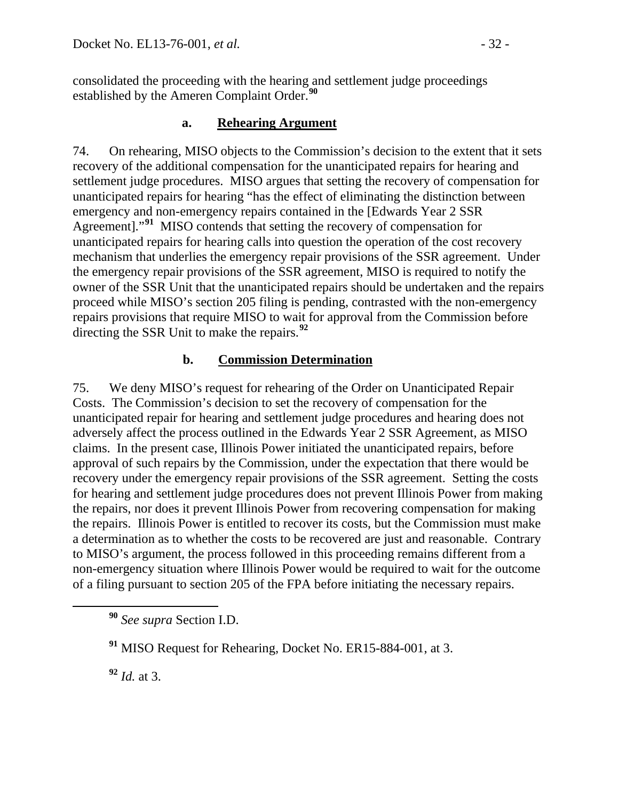consolidated the proceeding with the hearing and settlement judge proceedings established by the Ameren Complaint Order.**[90](#page-31-0)**

### **a. Rehearing Argument**

74. On rehearing, MISO objects to the Commission's decision to the extent that it sets recovery of the additional compensation for the unanticipated repairs for hearing and settlement judge procedures. MISO argues that setting the recovery of compensation for unanticipated repairs for hearing "has the effect of eliminating the distinction between emergency and non-emergency repairs contained in the [Edwards Year 2 SSR Agreement]."**[91](#page-31-1)** MISO contends that setting the recovery of compensation for unanticipated repairs for hearing calls into question the operation of the cost recovery mechanism that underlies the emergency repair provisions of the SSR agreement. Under the emergency repair provisions of the SSR agreement, MISO is required to notify the owner of the SSR Unit that the unanticipated repairs should be undertaken and the repairs proceed while MISO's section 205 filing is pending, contrasted with the non-emergency repairs provisions that require MISO to wait for approval from the Commission before directing the SSR Unit to make the repairs.**[92](#page-31-2)**

### **b. Commission Determination**

75. We deny MISO's request for rehearing of the Order on Unanticipated Repair Costs. The Commission's decision to set the recovery of compensation for the unanticipated repair for hearing and settlement judge procedures and hearing does not adversely affect the process outlined in the Edwards Year 2 SSR Agreement, as MISO claims. In the present case, Illinois Power initiated the unanticipated repairs, before approval of such repairs by the Commission, under the expectation that there would be recovery under the emergency repair provisions of the SSR agreement. Setting the costs for hearing and settlement judge procedures does not prevent Illinois Power from making the repairs, nor does it prevent Illinois Power from recovering compensation for making the repairs. Illinois Power is entitled to recover its costs, but the Commission must make a determination as to whether the costs to be recovered are just and reasonable. Contrary to MISO's argument, the process followed in this proceeding remains different from a non-emergency situation where Illinois Power would be required to wait for the outcome of a filing pursuant to section 205 of the FPA before initiating the necessary repairs.

<span id="page-31-2"></span>**<sup>92</sup>** *Id.* at 3.

<span id="page-31-0"></span>**<sup>90</sup>** *See supra* Section I.D.

<span id="page-31-1"></span>**<sup>91</sup>** MISO Request for Rehearing, Docket No. ER15-884-001, at 3.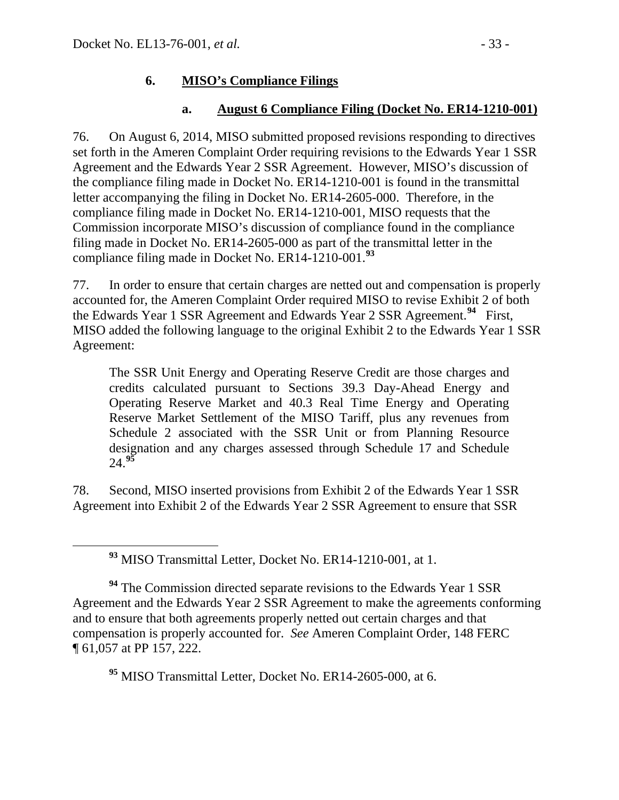### **6. MISO's Compliance Filings**

### **a. August 6 Compliance Filing (Docket No. ER14-1210-001)**

76. On August 6, 2014, MISO submitted proposed revisions responding to directives set forth in the Ameren Complaint Order requiring revisions to the Edwards Year 1 SSR Agreement and the Edwards Year 2 SSR Agreement. However, MISO's discussion of the compliance filing made in Docket No. ER14-1210-001 is found in the transmittal letter accompanying the filing in Docket No. ER14-2605-000. Therefore, in the compliance filing made in Docket No. ER14-1210-001, MISO requests that the Commission incorporate MISO's discussion of compliance found in the compliance filing made in Docket No. ER14-2605-000 as part of the transmittal letter in the compliance filing made in Docket No. ER14-1210-001. **[93](#page-32-0)**

77. In order to ensure that certain charges are netted out and compensation is properly accounted for, the Ameren Complaint Order required MISO to revise Exhibit 2 of both the Edwards Year 1 SSR Agreement and Edwards Year 2 SSR Agreement.**[94](#page-32-1)** First, MISO added the following language to the original Exhibit 2 to the Edwards Year 1 SSR Agreement:

The SSR Unit Energy and Operating Reserve Credit are those charges and credits calculated pursuant to Sections 39.3 Day-Ahead Energy and Operating Reserve Market and 40.3 Real Time Energy and Operating Reserve Market Settlement of the MISO Tariff, plus any revenues from Schedule 2 associated with the SSR Unit or from Planning Resource designation and any charges assessed through Schedule 17 and Schedule 24.**[95](#page-32-2)**

78. Second, MISO inserted provisions from Exhibit 2 of the Edwards Year 1 SSR Agreement into Exhibit 2 of the Edwards Year 2 SSR Agreement to ensure that SSR

**<sup>93</sup>** MISO Transmittal Letter, Docket No. ER14-1210-001, at 1.

<span id="page-32-1"></span><span id="page-32-0"></span><sup>94</sup> The Commission directed separate revisions to the Edwards Year 1 SSR Agreement and the Edwards Year 2 SSR Agreement to make the agreements conforming and to ensure that both agreements properly netted out certain charges and that compensation is properly accounted for. *See* Ameren Complaint Order, 148 FERC ¶ 61,057 at PP 157, 222.

<span id="page-32-2"></span>**<sup>95</sup>** MISO Transmittal Letter, Docket No. ER14-2605-000, at 6.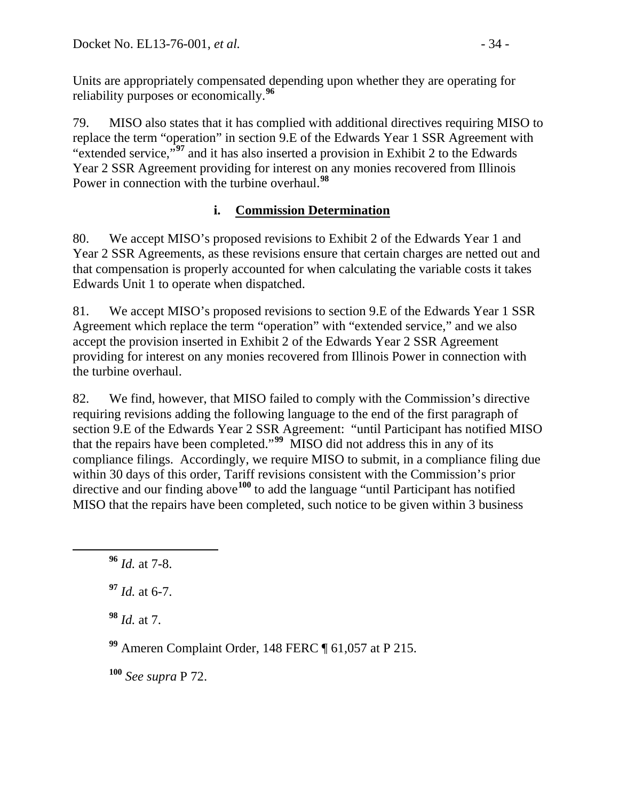Units are appropriately compensated depending upon whether they are operating for reliability purposes or economically.**[96](#page-33-0)**

79. MISO also states that it has complied with additional directives requiring MISO to replace the term "operation" in section 9.E of the Edwards Year 1 SSR Agreement with "extended service,"**[97](#page-33-1)** and it has also inserted a provision in Exhibit 2 to the Edwards Year 2 SSR Agreement providing for interest on any monies recovered from Illinois Power in connection with the turbine overhaul. **[98](#page-33-2)**

# **i. Commission Determination**

80. We accept MISO's proposed revisions to Exhibit 2 of the Edwards Year 1 and Year 2 SSR Agreements, as these revisions ensure that certain charges are netted out and that compensation is properly accounted for when calculating the variable costs it takes Edwards Unit 1 to operate when dispatched.

81. We accept MISO's proposed revisions to section 9.E of the Edwards Year 1 SSR Agreement which replace the term "operation" with "extended service," and we also accept the provision inserted in Exhibit 2 of the Edwards Year 2 SSR Agreement providing for interest on any monies recovered from Illinois Power in connection with the turbine overhaul.

82. We find, however, that MISO failed to comply with the Commission's directive requiring revisions adding the following language to the end of the first paragraph of section 9.E of the Edwards Year 2 SSR Agreement: "until Participant has notified MISO that the repairs have been completed."**[99](#page-33-3)** MISO did not address this in any of its compliance filings. Accordingly, we require MISO to submit, in a compliance filing due within 30 days of this order, Tariff revisions consistent with the Commission's prior directive and our finding above<sup>[100](#page-33-4)</sup> to add the language "until Participant has notified MISO that the repairs have been completed, such notice to be given within 3 business

<span id="page-33-1"></span>**<sup>97</sup>** *Id.* at 6-7.

<span id="page-33-2"></span>**<sup>98</sup>** *Id.* at 7.

<span id="page-33-3"></span>**<sup>99</sup>** Ameren Complaint Order, 148 FERC ¶ 61,057 at P 215.

<span id="page-33-4"></span>**<sup>100</sup>** *See supra* P 72.

<span id="page-33-0"></span>**<sup>96</sup>** *Id.* at 7-8.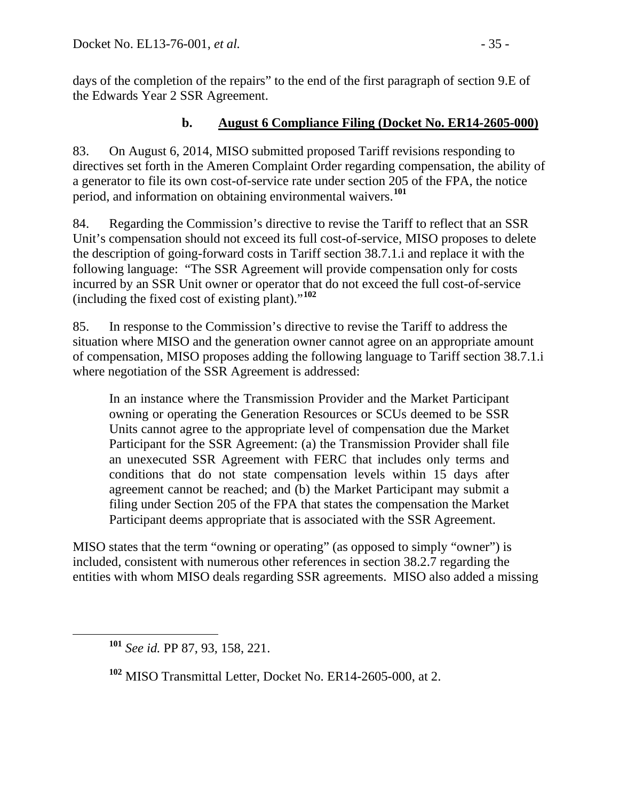days of the completion of the repairs" to the end of the first paragraph of section 9.E of the Edwards Year 2 SSR Agreement.

### **b. August 6 Compliance Filing (Docket No. ER14-2605-000)**

83. On August 6, 2014, MISO submitted proposed Tariff revisions responding to directives set forth in the Ameren Complaint Order regarding compensation, the ability of a generator to file its own cost-of-service rate under section 205 of the FPA, the notice period, and information on obtaining environmental waivers.**[101](#page-34-0)**

84. Regarding the Commission's directive to revise the Tariff to reflect that an SSR Unit's compensation should not exceed its full cost-of-service, MISO proposes to delete the description of going-forward costs in Tariff section 38.7.1.i and replace it with the following language: "The SSR Agreement will provide compensation only for costs incurred by an SSR Unit owner or operator that do not exceed the full cost-of-service (including the fixed cost of existing plant)."**[102](#page-34-1)**

85. In response to the Commission's directive to revise the Tariff to address the situation where MISO and the generation owner cannot agree on an appropriate amount of compensation, MISO proposes adding the following language to Tariff section 38.7.1.i where negotiation of the SSR Agreement is addressed:

In an instance where the Transmission Provider and the Market Participant owning or operating the Generation Resources or SCUs deemed to be SSR Units cannot agree to the appropriate level of compensation due the Market Participant for the SSR Agreement: (a) the Transmission Provider shall file an unexecuted SSR Agreement with FERC that includes only terms and conditions that do not state compensation levels within 15 days after agreement cannot be reached; and (b) the Market Participant may submit a filing under Section 205 of the FPA that states the compensation the Market Participant deems appropriate that is associated with the SSR Agreement.

MISO states that the term "owning or operating" (as opposed to simply "owner") is included, consistent with numerous other references in section 38.2.7 regarding the entities with whom MISO deals regarding SSR agreements. MISO also added a missing

<span id="page-34-0"></span>**<sup>101</sup>** *See id.* PP 87, 93, 158, 221.

<span id="page-34-1"></span>**<sup>102</sup>** MISO Transmittal Letter, Docket No. ER14-2605-000, at 2.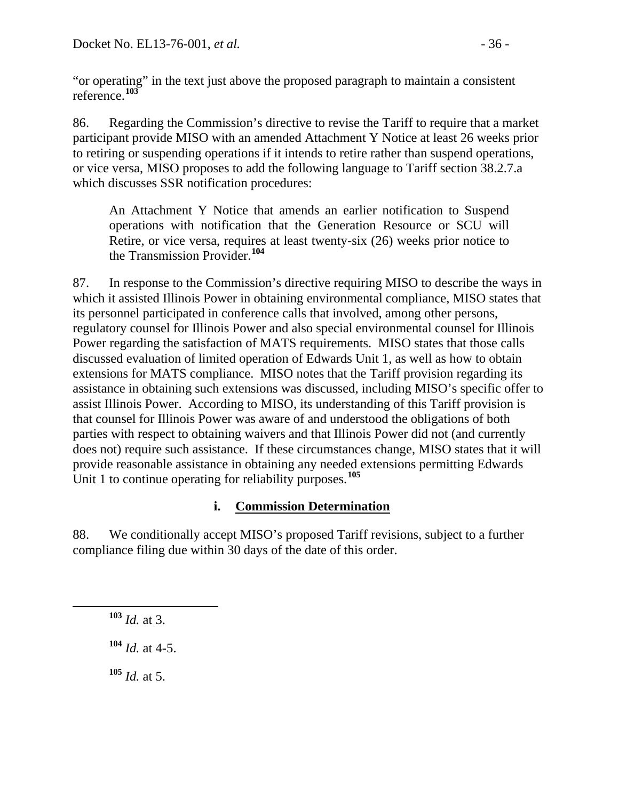"or operating" in the text just above the proposed paragraph to maintain a consistent reference.**[103](#page-35-0)**

86. Regarding the Commission's directive to revise the Tariff to require that a market participant provide MISO with an amended Attachment Y Notice at least 26 weeks prior to retiring or suspending operations if it intends to retire rather than suspend operations, or vice versa, MISO proposes to add the following language to Tariff section 38.2.7.a which discusses SSR notification procedures:

An Attachment Y Notice that amends an earlier notification to Suspend operations with notification that the Generation Resource or SCU will Retire, or vice versa, requires at least twenty-six (26) weeks prior notice to the Transmission Provider.**[104](#page-35-1)**

87. In response to the Commission's directive requiring MISO to describe the ways in which it assisted Illinois Power in obtaining environmental compliance, MISO states that its personnel participated in conference calls that involved, among other persons, regulatory counsel for Illinois Power and also special environmental counsel for Illinois Power regarding the satisfaction of MATS requirements. MISO states that those calls discussed evaluation of limited operation of Edwards Unit 1, as well as how to obtain extensions for MATS compliance. MISO notes that the Tariff provision regarding its assistance in obtaining such extensions was discussed, including MISO's specific offer to assist Illinois Power. According to MISO, its understanding of this Tariff provision is that counsel for Illinois Power was aware of and understood the obligations of both parties with respect to obtaining waivers and that Illinois Power did not (and currently does not) require such assistance. If these circumstances change, MISO states that it will provide reasonable assistance in obtaining any needed extensions permitting Edwards Unit 1 to continue operating for reliability purposes.**[105](#page-35-2)**

### **i. Commission Determination**

88. We conditionally accept MISO's proposed Tariff revisions, subject to a further compliance filing due within 30 days of the date of this order.

<span id="page-35-0"></span>**<sup>103</sup>** *Id.* at 3.

<span id="page-35-1"></span>**<sup>104</sup>** *Id.* at 4-5.

<span id="page-35-2"></span>**<sup>105</sup>** *Id.* at 5.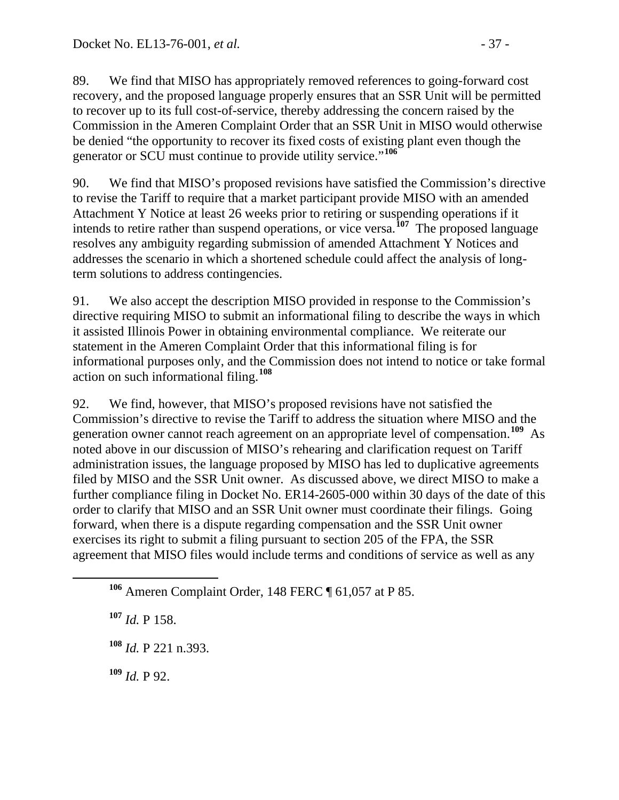89. We find that MISO has appropriately removed references to going-forward cost recovery, and the proposed language properly ensures that an SSR Unit will be permitted to recover up to its full cost-of-service, thereby addressing the concern raised by the Commission in the Ameren Complaint Order that an SSR Unit in MISO would otherwise be denied "the opportunity to recover its fixed costs of existing plant even though the generator or SCU must continue to provide utility service."**[106](#page-36-0)**

90. We find that MISO's proposed revisions have satisfied the Commission's directive to revise the Tariff to require that a market participant provide MISO with an amended Attachment Y Notice at least 26 weeks prior to retiring or suspending operations if it intends to retire rather than suspend operations, or vice versa.**[107](#page-36-1)** The proposed language resolves any ambiguity regarding submission of amended Attachment Y Notices and addresses the scenario in which a shortened schedule could affect the analysis of longterm solutions to address contingencies.

91. We also accept the description MISO provided in response to the Commission's directive requiring MISO to submit an informational filing to describe the ways in which it assisted Illinois Power in obtaining environmental compliance. We reiterate our statement in the Ameren Complaint Order that this informational filing is for informational purposes only, and the Commission does not intend to notice or take formal action on such informational filing.**[108](#page-36-2)**

92. We find, however, that MISO's proposed revisions have not satisfied the Commission's directive to revise the Tariff to address the situation where MISO and the generation owner cannot reach agreement on an appropriate level of compensation.**[109](#page-36-3)** As noted above in our discussion of MISO's rehearing and clarification request on Tariff administration issues, the language proposed by MISO has led to duplicative agreements filed by MISO and the SSR Unit owner. As discussed above, we direct MISO to make a further compliance filing in Docket No. ER14-2605-000 within 30 days of the date of this order to clarify that MISO and an SSR Unit owner must coordinate their filings. Going forward, when there is a dispute regarding compensation and the SSR Unit owner exercises its right to submit a filing pursuant to section 205 of the FPA, the SSR agreement that MISO files would include terms and conditions of service as well as any

<span id="page-36-1"></span>**<sup>107</sup>** *Id.* P 158.

<span id="page-36-2"></span>**<sup>108</sup>** *Id.* P 221 n.393.

<span id="page-36-3"></span>**<sup>109</sup>** *Id.* P 92.

<span id="page-36-0"></span>**<sup>106</sup>** Ameren Complaint Order, 148 FERC ¶ 61,057 at P 85.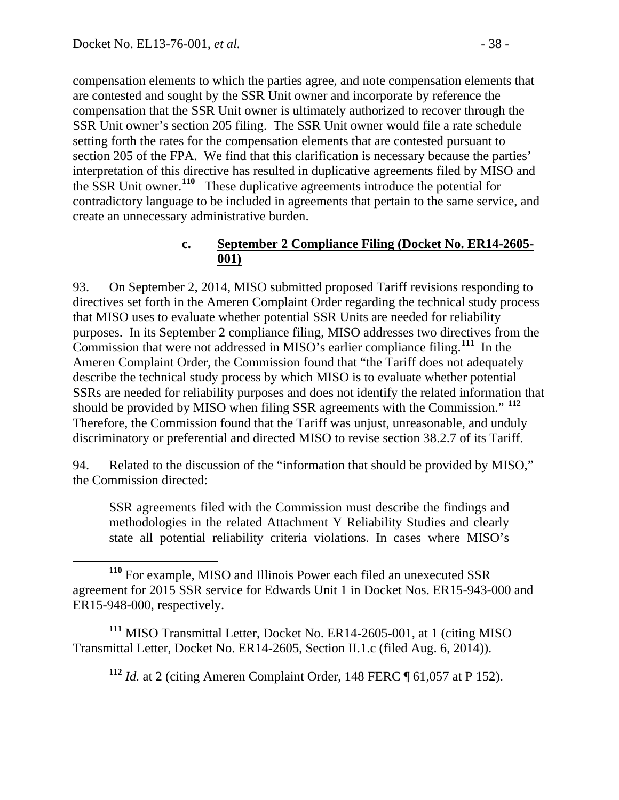compensation elements to which the parties agree, and note compensation elements that are contested and sought by the SSR Unit owner and incorporate by reference the compensation that the SSR Unit owner is ultimately authorized to recover through the SSR Unit owner's section 205 filing. The SSR Unit owner would file a rate schedule setting forth the rates for the compensation elements that are contested pursuant to section 205 of the FPA. We find that this clarification is necessary because the parties' interpretation of this directive has resulted in duplicative agreements filed by MISO and the SSR Unit owner.**[110](#page-37-0)** These duplicative agreements introduce the potential for contradictory language to be included in agreements that pertain to the same service, and create an unnecessary administrative burden.

#### **c. September 2 Compliance Filing (Docket No. ER14-2605- 001)**

93. On September 2, 2014, MISO submitted proposed Tariff revisions responding to directives set forth in the Ameren Complaint Order regarding the technical study process that MISO uses to evaluate whether potential SSR Units are needed for reliability purposes. In its September 2 compliance filing, MISO addresses two directives from the Commission that were not addressed in MISO's earlier compliance filing.**[111](#page-37-1)** In the Ameren Complaint Order, the Commission found that "the Tariff does not adequately describe the technical study process by which MISO is to evaluate whether potential SSRs are needed for reliability purposes and does not identify the related information that should be provided by MISO when filing SSR agreements with the Commission." **[112](#page-37-2)** Therefore, the Commission found that the Tariff was unjust, unreasonable, and unduly discriminatory or preferential and directed MISO to revise section 38.2.7 of its Tariff.

94. Related to the discussion of the "information that should be provided by MISO," the Commission directed:

SSR agreements filed with the Commission must describe the findings and methodologies in the related Attachment Y Reliability Studies and clearly state all potential reliability criteria violations. In cases where MISO's

<span id="page-37-2"></span><span id="page-37-1"></span>**<sup>111</sup>** MISO Transmittal Letter, Docket No. ER14-2605-001, at 1 (citing MISO Transmittal Letter, Docket No. ER14-2605, Section II.1.c (filed Aug. 6, 2014)).

**<sup>112</sup>** *Id.* at 2 (citing Ameren Complaint Order, 148 FERC ¶ 61,057 at P 152).

<span id="page-37-0"></span>**<sup>110</sup>** For example, MISO and Illinois Power each filed an unexecuted SSR agreement for 2015 SSR service for Edwards Unit 1 in Docket Nos. ER15-943-000 and ER15-948-000, respectively.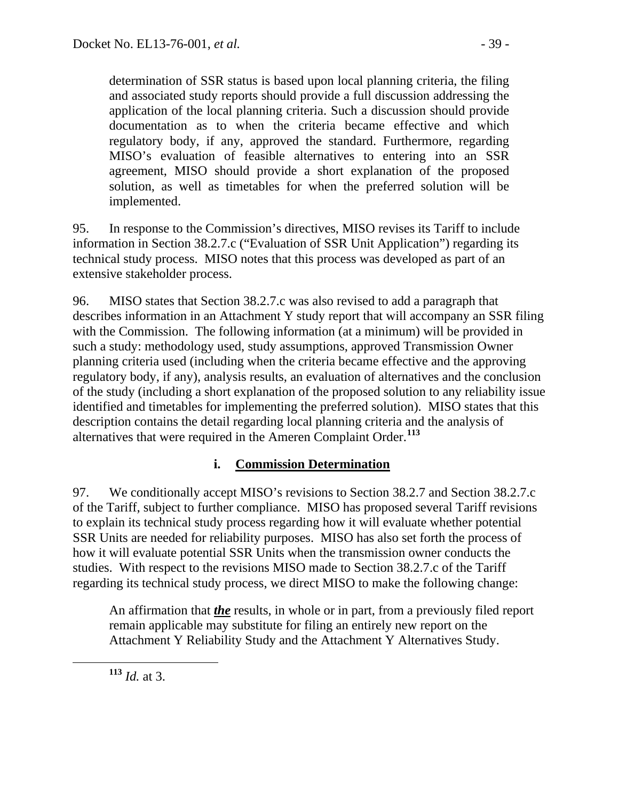determination of SSR status is based upon local planning criteria, the filing and associated study reports should provide a full discussion addressing the application of the local planning criteria. Such a discussion should provide documentation as to when the criteria became effective and which regulatory body, if any, approved the standard. Furthermore, regarding MISO's evaluation of feasible alternatives to entering into an SSR agreement, MISO should provide a short explanation of the proposed solution, as well as timetables for when the preferred solution will be implemented.

95. In response to the Commission's directives, MISO revises its Tariff to include information in Section 38.2.7.c ("Evaluation of SSR Unit Application") regarding its technical study process. MISO notes that this process was developed as part of an extensive stakeholder process.

96. MISO states that Section 38.2.7.c was also revised to add a paragraph that describes information in an Attachment Y study report that will accompany an SSR filing with the Commission. The following information (at a minimum) will be provided in such a study: methodology used, study assumptions, approved Transmission Owner planning criteria used (including when the criteria became effective and the approving regulatory body, if any), analysis results, an evaluation of alternatives and the conclusion of the study (including a short explanation of the proposed solution to any reliability issue identified and timetables for implementing the preferred solution). MISO states that this description contains the detail regarding local planning criteria and the analysis of alternatives that were required in the Ameren Complaint Order.**[113](#page-38-0)**

#### **i. Commission Determination**

97. We conditionally accept MISO's revisions to Section 38.2.7 and Section 38.2.7.c of the Tariff, subject to further compliance. MISO has proposed several Tariff revisions to explain its technical study process regarding how it will evaluate whether potential SSR Units are needed for reliability purposes. MISO has also set forth the process of how it will evaluate potential SSR Units when the transmission owner conducts the studies. With respect to the revisions MISO made to Section 38.2.7.c of the Tariff regarding its technical study process, we direct MISO to make the following change:

An affirmation that *the* results, in whole or in part, from a previously filed report remain applicable may substitute for filing an entirely new report on the Attachment Y Reliability Study and the Attachment Y Alternatives Study.

<span id="page-38-0"></span>**<sup>113</sup>** *Id.* at 3.